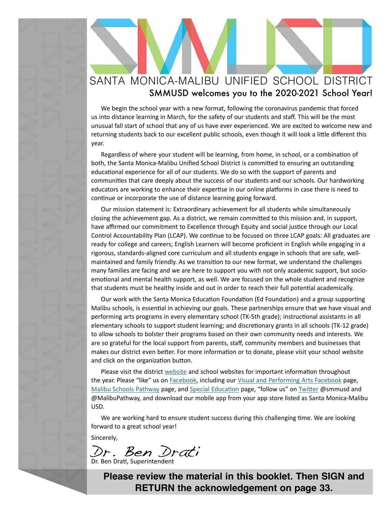# SMMUSD welcomes you to the 2020-2021 School Year! SANTA MONICA-MALIBU UNIFIED SCHOOL DISTRICT

We begin the school year with a new format, following the coronavirus pandemic that forced us into distance learning in March, for the safety of our students and staff. This will be the most unusual fall start of school that any of us have ever experienced. We are excited to welcome new and returning students back to our excellent public schools, even though it will look a little different this year.

Regardless of where your student will be learning, from home, in school, or a combination of both, the Santa Monica-Malibu Unified School District is committed to ensuring an outstanding educational experience for all of our students. We do so with the support of parents and communities that care deeply about the success of our students and our schools. Our hardworking educators are working to enhance their expertise in our online platforms in case there is need to continue or incorporate the use of distance learning going forward.

Our mission statement is: Extraordinary achievement for all students while simultaneously closing the achievement gap. As a district, we remain committed to this mission and, in support, have affirmed our commitment to Excellence through Equity and social justice through our Local Control Accountability Plan (LCAP). We continue to be focused on three LCAP goals: All graduates are ready for college and careers; English Learners will become proficient in English while engaging in a rigorous, standards-aligned core curriculum and all students engage in schools that are safe, wellmaintained and family friendly. As we transition to our new format, we understand the challenges many families are facing and we are here to support you with not only academic support, but socioemotional and mental health support, as well. We are focused on the whole student and recognize that students must be healthy inside and out in order to reach their full potential academically.

Our work with the Santa Monica Education Foundation (Ed Foundation) and a group supporting Malibu schools, is essential in achieving our goals. These partnerships ensure that we have visual and performing arts programs in every elementary school (TK-5th grade); instructional assistants in all elementary schools to support student learning; and discretionary grants in all schools (TK-12 grade) to allow schools to bolster their programs based on their own community needs and interests. We are so grateful for the local support from parents, staff, community members and businesses that makes our district even better. For more information or to donate, please visit your school website and click on the organization button.

Please visit the district [website](htto://www.smmusd.org) and school websites for important information throughout the year. Please "like" us on [Facebook](https://www.facebook.com/smmusd/), including our [Visual and Performing Arts Facebook](https://www.facebook.com/Santa-Monica-Malibu-USD-Visual-Performing-Arts-499014126917622/) page, [Malibu Schools Pathway](https://www.facebook.com/MalibuSchoolsPathway/?modal=admin_todo_tour) page, and [Special Education](https://www.facebook.com/smmusdspecialed/) page, "follow us" on [Twitter](https://twitter.com/SMMUSD) @smmusd and @MalibuPathway, and download our mobile app from your app store listed as Santa Monica-Malibu USD.

We are working hard to ensure student success during this challenging time. We are looking forward to a great school year!

Sincerely,

Dr. Ben Drati

**Please review the material in this booklet. Then SIGN and RETURN the acknowledgement on [page 33](#page-32-0).**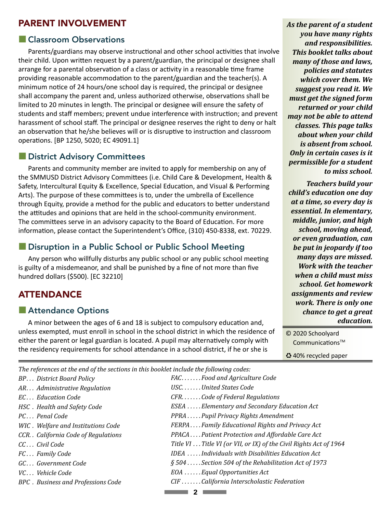## PARENT INVOLVEMENT

## ■ Classroom Observations

Parents/guardians may observe instructional and other school activities that involve their child. Upon written request by a parent/guardian, the principal or designee shall arrange for a parental observation of a class or activity in a reasonable time frame providing reasonable accommodation to the parent/guardian and the teacher(s). A minimum notice of 24 hours/one school day is required, the principal or designee shall accompany the parent and, unless authorized otherwise, observations shall be limited to 20 minutes in length. The principal or designee will ensure the safety of students and staff members; prevent undue interference with instruction; and prevent harassment of school staff. The principal or designee reserves the right to deny or halt an observation that he/she believes will or is disruptive to instruction and classroom operations. [BP 1250, 5020; EC 49091.1]

## **Explorer District Advisory Committees**

Parents and community member are invited to apply for membership on any of the SMMUSD District Advisory Committees (i.e. Child Care & Development, Health & Safety, Intercultural Equity & Excellence, Special Education, and Visual & Performing Arts). The purpose of these committees is to, under the umbrella of Excellence through Equity, provide a method for the public and educators to better understand the attitudes and opinions that are held in the school-community environment. The committees serve in an advisory capacity to the Board of Education. For more information, please contact the Superintendent's Office, (310) 450-8338, ext. 70229.

## ■ Disruption in a Public School or Public School Meeting

Any person who willfully disturbs any public school or any public school meeting is guilty of a misdemeanor, and shall be punished by a fine of not more than five hundred dollars (\$500). [EC 32210]

## ATTENDANCE

## **Attendance Options**

A minor between the ages of 6 and 18 is subject to compulsory education and, unless exempted, must enroll in school in the school district in which the residence of either the parent or legal guardian is located. A pupil may alternatively comply with the residency requirements for school attendance in a school district, if he or she is

*As the parent of a student you have many rights and responsibilities. This booklet talks about many of those and laws, policies and statutes which cover them. We suggest you read it. We must get the signed form returned or your child may not be able to attend classes. This page talks about when your child is absent from school. Only in certain cases is it permissible for a student to miss school.* 

*Teachers build your child's education one day at a time, so every day is essential. In elementary, middle, junior, and high school, moving ahead, or even graduation, can be put in jeopardy if too many days are missed. Work with the teacher when a child must miss school. Get homework assignments and review work. There is only one chance to get a great education.*

© 2020 Schoolyard CommunicationsTM ♻40% recycled paper

*The references at the end of the sections in this booklet include the following codes:*

| BP District Board Policy              | FACFood and Agriculture Code                                       |
|---------------------------------------|--------------------------------------------------------------------|
| AR Administrative Regulation          | USCUnited States Code                                              |
| EC Education Code                     | CFR. Code of Federal Regulations                                   |
| HSC. Health and Safety Code           | ESEA  Elementary and Secondary Education Act                       |
| PC Penal Code                         | PPRA Pupil Privacy Rights Amendment                                |
| WIC. Welfare and Institutions Code    | FERPAFamily Educational Rights and Privacy Act                     |
| CCR. . California Code of Regulations | PPACA Patient Protection and Affordable Care Act                   |
| CC Civil Code                         | Title VI  Title VI (or VII, or IX) of the Civil Rights Act of 1964 |
| FC Family Code                        | IDEA Individuals with Disabilities Education Act                   |
| GC Government Code                    | § 504 Section 504 of the Rehabilitation Act of 1973                |
| VC Vehicle Code                       | EOA Equal Opportunities Act                                        |
| BPC. Business and Professions Code    | CIF California Interscholastic Federation                          |
|                                       |                                                                    |
|                                       |                                                                    |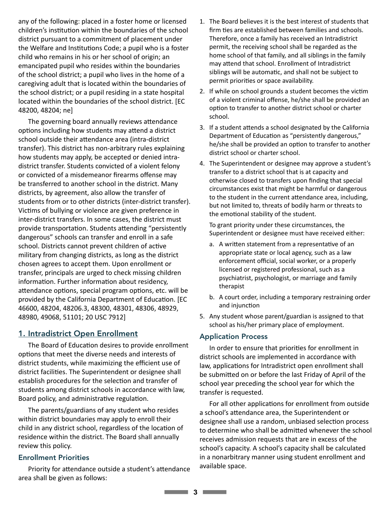any of the following: placed in a foster home or licensed children's institution within the boundaries of the school district pursuant to a commitment of placement under the Welfare and Institutions Code; a pupil who is a foster child who remains in his or her school of origin; an emancipated pupil who resides within the boundaries of the school district; a pupil who lives in the home of a caregiving adult that is located within the boundaries of the school district; or a pupil residing in a state hospital located within the boundaries of the school district. [EC 48200, 48204; ne]

The governing board annually reviews attendance options including how students may attend a district school outside their attendance area (intra-district transfer). This district has non-arbitrary rules explaining how students may apply, be accepted or denied intradistrict transfer. Students convicted of a violent felony or convicted of a misdemeanor firearms offense may be transferred to another school in the district. Many districts, by agreement, also allow the transfer of students from or to other districts (inter-district transfer). Victims of bullying or violence are given preference in inter-district transfers. In some cases, the district must provide transportation. Students attending "persistently dangerous" schools can transfer and enroll in a safe school. Districts cannot prevent children of active military from changing districts, as long as the district chosen agrees to accept them. Upon enrollment or transfer, principals are urged to check missing children information. Further information about residency, attendance options, special program options, etc. will be provided by the California Department of Education. [EC 46600, 48204, 48206.3, 48300, 48301, 48306, 48929, 48980, 49068, 51101; 20 USC 7912]

#### 1. Intradistrict Open Enrollment

The Board of Education desires to provide enrollment options that meet the diverse needs and interests of district students, while maximizing the efficient use of district facilities. The Superintendent or designee shall establish procedures for the selection and transfer of students among district schools in accordance with law, Board policy, and administrative regulation.

The parents/guardians of any student who resides within district boundaries may apply to enroll their child in any district school, regardless of the location of residence within the district. The Board shall annually review this policy.

#### Enrollment Priorities

Priority for attendance outside a student's attendance area shall be given as follows:

- 1. The Board believes it is the best interest of students that firm ties are established between families and schools. Therefore, once a family has received an Intradistrict permit, the receiving school shall be regarded as the home school of that family, and all siblings in the family may attend that school. Enrollment of Intradistrict siblings will be automatic, and shall not be subject to permit priorities or space availability.
- 2. If while on school grounds a student becomes the victim of a violent criminal offense, he/she shall be provided an option to transfer to another district school or charter school.
- 3. If a student attends a school designated by the California Department of Education as "persistently dangerous," he/she shall be provided an option to transfer to another district school or charter school.
- 4. The Superintendent or designee may approve a student's transfer to a district school that is at capacity and otherwise closed to transfers upon finding that special circumstances exist that might be harmful or dangerous to the student in the current attendance area, including, but not limited to, threats of bodily harm or threats to the emotional stability of the student.

To grant priority under these circumstances, the Superintendent or designee must have received either:

- a. A written statement from a representative of an appropriate state or local agency, such as a law enforcement official, social worker, or a properly licensed or registered professional, such as a psychiatrist, psychologist, or marriage and family therapist
- b. A court order, including a temporary restraining order and injunction
- 5. Any student whose parent/guardian is assigned to that school as his/her primary place of employment.

#### Application Process

In order to ensure that priorities for enrollment in district schools are implemented in accordance with law, applications for Intradistrict open enrollment shall be submitted on or before the last Friday of April of the school year preceding the school year for which the transfer is requested.

For all other applications for enrollment from outside a school's attendance area, the Superintendent or designee shall use a random, unbiased selection process to determine who shall be admitted whenever the school receives admission requests that are in excess of the school's capacity. A school's capacity shall be calculated in a nonarbitrary manner using student enrollment and available space.

n**3**n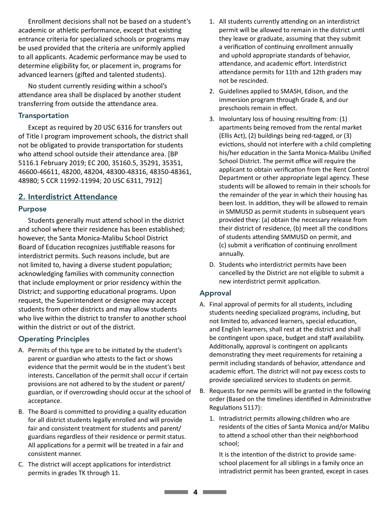Enrollment decisions shall not be based on a student's academic or athletic performance, except that existing entrance criteria for specialized schools or programs may be used provided that the criteria are uniformly applied to all applicants. Academic performance may be used to determine eligibility for, or placement in, programs for advanced learners (gifted and talented students).

No student currently residing within a school's attendance area shall be displaced by another student transferring from outside the attendance area.

#### **Transportation**

Except as required by 20 USC 6316 for transfers out of Title I program improvement schools, the district shall not be obligated to provide transportation for students who attend school outside their attendance area. [BP 5116.1 February 2019; EC 200, 35160.5, 35291, 35351, 46600-46611, 48200, 48204, 48300-48316, 48350-48361, 48980; 5 CCR 11992-11994; 20 USC 6311, 7912]

## 2. Interdistrict Attendance

#### Purpose

Students generally must attend school in the district and school where their residence has been established; however, the Santa Monica-Malibu School District Board of Education recognizes justifiable reasons for interdistrict permits. Such reasons include, but are not limited to, having a diverse student population; acknowledging families with community connection that include employment or prior residency within the District; and supporting educational programs. Upon request, the Superintendent or designee may accept students from other districts and may allow students who live within the district to transfer to another school within the district or out of the district.

#### Operating Principles

- A. Permits of this type are to be initiated by the student's parent or guardian who attests to the fact or shows evidence that the permit would be in the student's best interests. Cancellation of the permit shall occur if certain provisions are not adhered to by the student or parent/ guardian, or if overcrowding should occur at the school of acceptance.
- B. The Board is committed to providing a quality education for all district students legally enrolled and will provide fair and consistent treatment for students and parent/ guardians regardless of their residence or permit status. All applications for a permit will be treated in a fair and consistent manner.
- C. The district will accept applications for interdistrict permits in grades TK through 11.
- 1. All students currently attending on an interdistrict permit will be allowed to remain in the district until they leave or graduate, assuming that they submit a verification of continuing enrollment annually and uphold appropriate standards of behavior, attendance, and academic effort. Interdistrict attendance permits for 11th and 12th graders may not be rescinded.
- 2. Guidelines applied to SMASH, Edison, and the immersion program through Grade 8, and our preschools remain in effect.
- 3. Involuntary loss of housing resulting from: (1) apartments being removed from the rental market (Ellis Act), (2) buildings being red-tagged, or (3) evictions, should not interfere with a child completing his/her education in the Santa Monica-Malibu Unified School District. The permit office will require the applicant to obtain verification from the Rent Control Department or other appropriate legal agency. These students will be allowed to remain in their schools for the remainder of the year in which their housing has been lost. In addition, they will be allowed to remain in SMMUSD as permit students in subsequent years provided they: (a) obtain the necessary release from their district of residence, (b) meet all the conditions of students attending SMMUSD on permit, and (c) submit a verification of continuing enrollment annually.
- D. Students who interdistrict permits have been cancelled by the District are not eligible to submit a new interdistrict permit application.

#### Approval

- A. Final approval of permits for all students, including students needing specialized programs, including, but not limited to, advanced learners, special education, and English learners, shall rest at the district and shall be contingent upon space, budget and staff availability. Additionally, approval is contingent on applicants demonstrating they meet requirements for retaining a permit including standards of behavior, attendance and academic effort. The district will not pay excess costs to provide specialized services to students on permit.
- B. Requests for new permits will be granted in the following order (Based on the timelines identified in Administrative Regulations 5117):
	- 1. Intradistrict permits allowing children who are residents of the cities of Santa Monica and/or Malibu to attend a school other than their neighborhood school;

It is the intention of the district to provide sameschool placement for all siblings in a family once an intradistrict permit has been granted, except in cases

n**4**n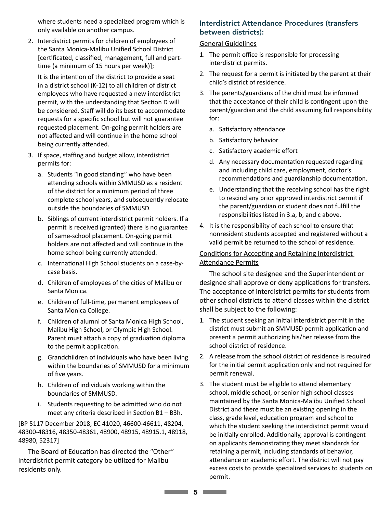where students need a specialized program which is only available on another campus.

2. Interdistrict permits for children of employees of the Santa Monica-Malibu Unified School District [certificated, classified, management, full and parttime (a minimum of 15 hours per week)];

It is the intention of the district to provide a seat in a district school (K-12) to all children of district employees who have requested a new interdistrict permit, with the understanding that Section D will be considered. Staff will do its best to accommodate requests for a specific school but will not guarantee requested placement. On-going permit holders are not affected and will continue in the home school being currently attended.

- 3. If space, staffing and budget allow, interdistrict permits for:
	- a. Students "in good standing" who have been attending schools within SMMUSD as a resident of the district for a minimum period of three complete school years, and subsequently relocate outside the boundaries of SMMUSD.
	- b. Siblings of current interdistrict permit holders. If a permit is received (granted) there is no guarantee of same-school placement. On-going permit holders are not affected and will continue in the home school being currently attended.
	- c. International High School students on a case-bycase basis.
	- d. Children of employees of the cities of Malibu or Santa Monica.
	- e. Children of full-time, permanent employees of Santa Monica College.
	- f. Children of alumni of Santa Monica High School, Malibu High School, or Olympic High School. Parent must attach a copy of graduation diploma to the permit application.
	- g. Grandchildren of individuals who have been living within the boundaries of SMMUSD for a minimum of five years.
	- h. Children of individuals working within the boundaries of SMMUSD.
	- i. Students requesting to be admitted who do not meet any criteria described in Section B1 – B3h.

[BP 5117 December 2018; EC 41020, 46600-46611, 48204, 48300-48316, 48350-48361, 48900, 48915, 48915.1, 48918, 48980, 52317]

The Board of Education has directed the "Other" interdistrict permit category be utilized for Malibu residents only.

#### Interdistrict Attendance Procedures (transfers between districts):

#### General Guidelines

- 1. The permit office is responsible for processing interdistrict permits.
- 2. The request for a permit is initiated by the parent at their child's district of residence.
- 3. The parents/guardians of the child must be informed that the acceptance of their child is contingent upon the parent/guardian and the child assuming full responsibility for:
	- a. Satisfactory attendance
	- b. Satisfactory behavior
	- c. Satisfactory academic effort
	- d. Any necessary documentation requested regarding and including child care, employment, doctor's recommendations and guardianship documentation.
	- e. Understanding that the receiving school has the right to rescind any prior approved interdistrict permit if the parent/guardian or student does not fulfill the responsibilities listed in 3.a, b, and c above.
- 4. It is the responsibility of each school to ensure that nonresident students accepted and registered without a valid permit be returned to the school of residence.

#### Conditions for Accepting and Retaining Interdistrict Attendance Permits

The school site designee and the Superintendent or designee shall approve or deny applications for transfers. The acceptance of interdistrict permits for students from other school districts to attend classes within the district shall be subject to the following:

- 1. The student seeking an initial interdistrict permit in the district must submit an SMMUSD permit application and present a permit authorizing his/her release from the school district of residence.
- 2. A release from the school district of residence is required for the initial permit application only and not required for permit renewal.
- 3. The student must be eligible to attend elementary school, middle school, or senior high school classes maintained by the Santa Monica-Malibu Unified School District and there must be an existing opening in the class, grade level, education program and school to which the student seeking the interdistrict permit would be initially enrolled. Additionally, approval is contingent on applicants demonstrating they meet standards for retaining a permit, including standards of behavior, attendance or academic effort. The district will not pay excess costs to provide specialized services to students on permit.

n**5**n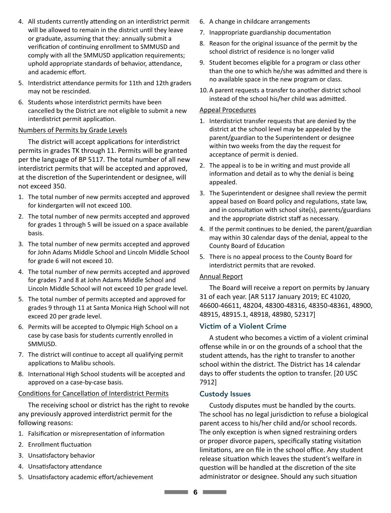- 4. All students currently attending on an interdistrict permit will be allowed to remain in the district until they leave or graduate, assuming that they: annually submit a verification of continuing enrollment to SMMUSD and comply with all the SMMUSD application requirements; uphold appropriate standards of behavior, attendance, and academic effort.
- 5. Interdistrict attendance permits for 11th and 12th graders may not be rescinded.
- 6. Students whose interdistrict permits have been cancelled by the District are not eligible to submit a new interdistrict permit application.

#### Numbers of Permits by Grade Levels

The district will accept applications for interdistrict permits in grades TK through 11. Permits will be granted per the language of BP 5117. The total number of all new interdistrict permits that will be accepted and approved, at the discretion of the Superintendent or designee, will not exceed 350.

- 1. The total number of new permits accepted and approved for kindergarten will not exceed 100.
- 2. The total number of new permits accepted and approved for grades 1 through 5 will be issued on a space available basis.
- 3. The total number of new permits accepted and approved for John Adams Middle School and Lincoln Middle School for grade 6 will not exceed 10.
- 4. The total number of new permits accepted and approved for grades 7 and 8 at John Adams Middle School and Lincoln Middle School will not exceed 10 per grade level.
- 5. The total number of permits accepted and approved for grades 9 through 11 at Santa Monica High School will not exceed 20 per grade level.
- 6. Permits will be accepted to Olympic High School on a case by case basis for students currently enrolled in SMMUSD.
- 7. The district will continue to accept all qualifying permit applications to Malibu schools.
- 8. International High School students will be accepted and approved on a case-by-case basis.

#### Conditions for Cancellation of Interdistrict Permits

The receiving school or district has the right to revoke any previously approved interdistrict permit for the following reasons:

- 1. Falsification or misrepresentation of information
- 2. Enrollment fluctuation
- 3. Unsatisfactory behavior
- 4. Unsatisfactory attendance
- 5. Unsatisfactory academic effort/achievement
- 6. A change in childcare arrangements
- 7. Inappropriate guardianship documentation
- 8. Reason for the original issuance of the permit by the school district of residence is no longer valid
- 9. Student becomes eligible for a program or class other than the one to which he/she was admitted and there is no available space in the new program or class.
- 10.A parent requests a transfer to another district school instead of the school his/her child was admitted.

#### Appeal Procedures

- 1. Interdistrict transfer requests that are denied by the district at the school level may be appealed by the parent/guardian to the Superintendent or designee within two weeks from the day the request for acceptance of permit is denied.
- 2. The appeal is to be in writing and must provide all information and detail as to why the denial is being appealed.
- 3. The Superintendent or designee shall review the permit appeal based on Board policy and regulations, state law, and in consultation with school site(s), parents/guardians and the appropriate district staff as necessary.
- 4. If the permit continues to be denied, the parent/guardian may within 30 calendar days of the denial, appeal to the County Board of Education
- 5. There is no appeal process to the County Board for interdistrict permits that are revoked.

#### Annual Report

The Board will receive a report on permits by January 31 of each year. [AR 5117 January 2019; EC 41020, 46600-46611, 48204, 48300-48316, 48350-48361, 48900, 48915, 48915.1, 48918, 48980, 52317]

#### Victim of a Violent Crime

A student who becomes a victim of a violent criminal offense while in or on the grounds of a school that the student attends, has the right to transfer to another school within the district. The District has 14 calendar days to offer students the option to transfer. [20 USC 7912]

#### Custody Issues

Custody disputes must be handled by the courts. The school has no legal jurisdiction to refuse a biological parent access to his/her child and/or school records. The only exception is when signed restraining orders or proper divorce papers, specifically stating visitation limitations, are on file in the school office. Any student release situation which leaves the student's welfare in question will be handled at the discretion of the site administrator or designee. Should any such situation

**nanova** 6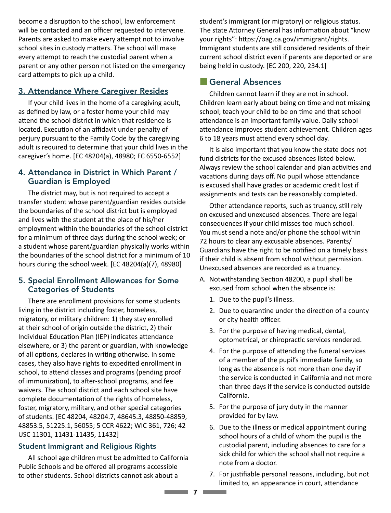become a disruption to the school, law enforcement will be contacted and an officer requested to intervene. Parents are asked to make every attempt not to involve school sites in custody matters. The school will make every attempt to reach the custodial parent when a parent or any other person not listed on the emergency card attempts to pick up a child.

### 3. Attendance Where Caregiver Resides

If your child lives in the home of a caregiving adult, as defined by law, or a foster home your child may attend the school district in which that residence is located. Execution of an affidavit under penalty of perjury pursuant to the Family Code by the caregiving adult is required to determine that your child lives in the caregiver's home. [EC 48204(a), 48980; FC 6550-6552]

### 4. Attendance in District in Which Parent / Guardian is Employed

The district may, but is not required to accept a transfer student whose parent/guardian resides outside the boundaries of the school district but is employed and lives with the student at the place of his/her employment within the boundaries of the school district for a minimum of three days during the school week; or a student whose parent/guardian physically works within the boundaries of the school district for a minimum of 10 hours during the school week. [EC 48204(a)(7), 48980]

#### 5. Special Enrollment Allowances for Some Categories of Students

There are enrollment provisions for some students living in the district including foster, homeless, migratory, or military children: 1) they stay enrolled at their school of origin outside the district, 2) their Individual Education Plan (IEP) indicates attendance elsewhere, or 3) the parent or guardian, with knowledge of all options, declares in writing otherwise. In some cases, they also have rights to expedited enrollment in school, to attend classes and programs (pending proof of immunization), to after-school programs, and fee waivers. The school district and each school site have complete documentation of the rights of homeless, foster, migratory, military, and other special categories of students. [EC 48204, 48204.7, 48645.3, 48850-48859, 48853.5, 51225.1, 56055; 5 CCR 4622; WIC 361, 726; 42 USC 11301, 11431-11435, 11432]

#### Student Immigrant and Religious Rights

All school age children must be admitted to California Public Schools and be offered all programs accessible to other students. School districts cannot ask about a

student's immigrant (or migratory) or religious status. The state Attorney General has information about "know your rights": https://oag.ca.gov/immigrant/rights. Immigrant students are still considered residents of their current school district even if parents are deported or are being held in custody. [EC 200, 220, 234.1]

## **E** General Absences

Children cannot learn if they are not in school. Children learn early about being on time and not missing school; teach your child to be on time and that school attendance is an important family value. Daily school attendance improves student achievement. Children ages 6 to 18 years must attend every school day.

It is also important that you know the state does not fund districts for the excused absences listed below. Always review the school calendar and plan activities and vacations during days off. No pupil whose attendance is excused shall have grades or academic credit lost if assignments and tests can be reasonably completed.

Other attendance reports, such as truancy, still rely on excused and unexcused absences. There are legal consequences if your child misses too much school. You must send a note and/or phone the school within 72 hours to clear any excusable absences. Parents/ Guardians have the right to be notified on a timely basis if their child is absent from school without permission. Unexcused absences are recorded as a truancy.

- A. Notwithstanding Section 48200, a pupil shall be excused from school when the absence is:
	- 1. Due to the pupil's illness.

n**7**n

- 2. Due to quarantine under the direction of a county or city health officer.
- 3. For the purpose of having medical, dental, optometrical, or chiropractic services rendered.
- 4. For the purpose of attending the funeral services of a member of the pupil's immediate family, so long as the absence is not more than one day if the service is conducted in California and not more than three days if the service is conducted outside California.
- 5. For the purpose of jury duty in the manner provided for by law.
- 6. Due to the illness or medical appointment during school hours of a child of whom the pupil is the custodial parent, including absences to care for a sick child for which the school shall not require a note from a doctor.
- 7. For justifiable personal reasons, including, but not limited to, an appearance in court, attendance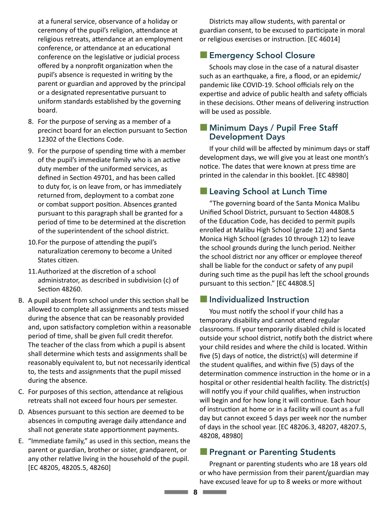at a funeral service, observance of a holiday or ceremony of the pupil's religion, attendance at religious retreats, attendance at an employment conference, or attendance at an educational conference on the legislative or judicial process offered by a nonprofit organization when the pupil's absence is requested in writing by the parent or guardian and approved by the principal or a designated representative pursuant to uniform standards established by the governing board.

- 8. For the purpose of serving as a member of a precinct board for an election pursuant to Section 12302 of the Elections Code.
- 9. For the purpose of spending time with a member of the pupil's immediate family who is an active duty member of the uniformed services, as defined in Section 49701, and has been called to duty for, is on leave from, or has immediately returned from, deployment to a combat zone or combat support position. Absences granted pursuant to this paragraph shall be granted for a period of time to be determined at the discretion of the superintendent of the school district.
- 10.For the purpose of attending the pupil's naturalization ceremony to become a United States citizen.
- 11.Authorized at the discretion of a school administrator, as described in subdivision (c) of Section 48260.
- B. A pupil absent from school under this section shall be allowed to complete all assignments and tests missed during the absence that can be reasonably provided and, upon satisfactory completion within a reasonable period of time, shall be given full credit therefor. The teacher of the class from which a pupil is absent shall determine which tests and assignments shall be reasonably equivalent to, but not necessarily identical to, the tests and assignments that the pupil missed during the absence.
- C. For purposes of this section, attendance at religious retreats shall not exceed four hours per semester.
- D. Absences pursuant to this section are deemed to be absences in computing average daily attendance and shall not generate state apportionment payments.
- E. "Immediate family," as used in this section, means the parent or guardian, brother or sister, grandparent, or any other relative living in the household of the pupil. [EC 48205, 48205.5, 48260]

Districts may allow students, with parental or guardian consent, to be excused to participate in moral or religious exercises or instruction. [EC 46014]

## **Exergency School Closure**

Schools may close in the case of a natural disaster such as an earthquake, a fire, a flood, or an epidemic/ pandemic like COVID-19. School officials rely on the expertise and advice of public health and safety officials in these decisions. Other means of delivering instruction will be used as possible.

## ■ Minimum Days / Pupil Free Staff Development Days

If your child will be affected by minimum days or staff development days, we will give you at least one month's notice. The dates that were known at press time are printed in the calendar in this booklet. [EC 48980]

## ■ Leaving School at Lunch Time

"The governing board of the Santa Monica Malibu Unified School District, pursuant to Section 44808.5 of the Education Code, has decided to permit pupils enrolled at Malibu High School (grade 12) and Santa Monica High School (grades 10 through 12) to leave the school grounds during the lunch period. Neither the school district nor any officer or employee thereof shall be liable for the conduct or safety of any pupil during such time as the pupil has left the school grounds pursuant to this section." [EC 44808.5]

## **Exercicle** Instruction

You must notify the school if your child has a temporary disability and cannot attend regular classrooms. If your temporarily disabled child is located outside your school district, notify both the district where your child resides and where the child is located. Within five (5) days of notice, the district(s) will determine if the student qualifies, and within five (5) days of the determination commence instruction in the home or in a hospital or other residential health facility. The district(s) will notify you if your child qualifies, when instruction will begin and for how long it will continue. Each hour of instruction at home or in a facility will count as a full day but cannot exceed 5 days per week nor the number of days in the school year. [EC 48206.3, 48207, 48207.5, 48208, 48980]

## **E** Pregnant or Parenting Students

Pregnant or parenting students who are 18 years old or who have permission from their parent/guardian may have excused leave for up to 8 weeks or more without

n**8**n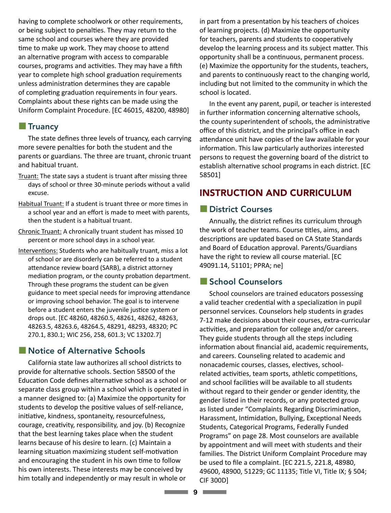having to complete schoolwork or other requirements, or being subject to penalties. They may return to the same school and courses where they are provided time to make up work. They may choose to attend an alternative program with access to comparable courses, programs and activities. They may have a fifth year to complete high school graduation requirements unless administration determines they are capable of completing graduation requirements in four years. Complaints about these rights can be made using the Uniform Complaint Procedure. [EC 46015, 48200, 48980]

### $\blacksquare$  Truancy

The state defines three levels of truancy, each carrying more severe penalties for both the student and the parents or guardians. The three are truant, chronic truant and habitual truant.

- Truant: The state says a student is truant after missing three days of school or three 30-minute periods without a valid excuse.
- Habitual Truant: If a student is truant three or more times in a school year and an effort is made to meet with parents, then the student is a habitual truant.
- Chronic Truant: A chronically truant student has missed 10 percent or more school days in a school year.
- Interventions: Students who are habitually truant, miss a lot of school or are disorderly can be referred to a student attendance review board (SARB), a district attorney mediation program, or the county probation department. Through these programs the student can be given guidance to meet special needs for improving attendance or improving school behavior. The goal is to intervene before a student enters the juvenile justice system or drops out. [EC 48260, 48260.5, 48261, 48262, 48263, 48263.5, 48263.6, 48264.5, 48291, 48293, 48320; PC 270.1, 830.1; WIC 256, 258, 601.3; VC 13202.7]

## ■ Notice of Alternative Schools

California state law authorizes all school districts to provide for alternative schools. Section 58500 of the Education Code defines alternative school as a school or separate class group within a school which is operated in a manner designed to: (a) Maximize the opportunity for students to develop the positive values of self-reliance, initiative, kindness, spontaneity, resourcefulness, courage, creativity, responsibility, and joy. (b) Recognize that the best learning takes place when the student learns because of his desire to learn. (c) Maintain a learning situation maximizing student self-motivation and encouraging the student in his own time to follow his own interests. These interests may be conceived by him totally and independently or may result in whole or

in part from a presentation by his teachers of choices of learning projects. (d) Maximize the opportunity for teachers, parents and students to cooperatively develop the learning process and its subject matter. This opportunity shall be a continuous, permanent process. (e) Maximize the opportunity for the students, teachers, and parents to continuously react to the changing world, including but not limited to the community in which the school is located.

In the event any parent, pupil, or teacher is interested in further information concerning alternative schools, the county superintendent of schools, the administrative office of this district, and the principal's office in each attendance unit have copies of the law available for your information. This law particularly authorizes interested persons to request the governing board of the district to establish alternative school programs in each district. [EC 58501]

## INSTRUCTION AND CURRICULUM

## **Exercic** Courses

Annually, the district refines its curriculum through the work of teacher teams. Course titles, aims, and descriptions are updated based on CA State Standards and Board of Education approval. Parents/Guardians have the right to review all course material. [EC 49091.14, 51101; PPRA; ne]

## ■ School Counselors

School counselors are trained educators possessing a valid teacher credential with a specialization in pupil personnel services. Counselors help students in grades 7-12 make decisions about their courses, extra-curricular activities, and preparation for college and/or careers. They guide students through all the steps including information about financial aid, academic requirements, and careers. Counseling related to academic and nonacademic courses, classes, electives, schoolrelated activities, team sports, athletic competitions, and school facilities will be available to all students without regard to their gender or gender identity, the gender listed in their records, or any protected group as listed under ["Complaints Regarding Discrimination,](#page-27-0)  [Harassment, Intimidation, Bullying, Exceptional Needs](#page-27-0)  [Students, Categorical Programs, Federally Funded](#page-27-0)  [Programs" on page 28.](#page-27-0) Most counselors are available by appointment and will meet with students and their families. The District Uniform Complaint Procedure may be used to file a complaint. [EC 221.5, 221.8, 48980, 49600, 48900, 51229; GC 11135; Title VI, Title IX; § 504; CIF 300D]

n**9**n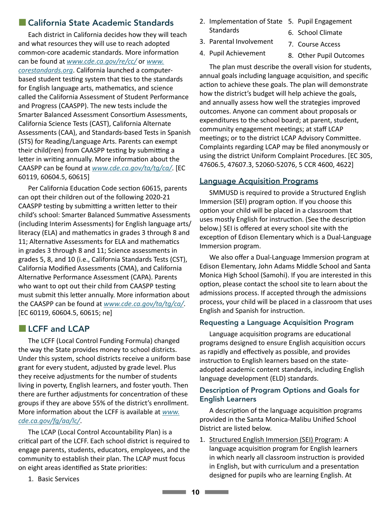## ■ California State Academic Standards

Each district in California decides how they will teach and what resources they will use to reach adopted common-core academic standards. More information can be found at *www.cde.ca.gov/re/cc/* or *www. corestandards.org*. California launched a computerbased student testing system that ties to the standards for English language arts, mathematics, and science called the California Assessment of Student Performance and Progress (CAASPP). The new tests include the Smarter Balanced Assessment Consortium Assessments, California Science Tests (CAST), California Alternate Assessments (CAA), and Standards-based Tests in Spanish (STS) for Reading/Language Arts. Parents can exempt their child(ren) from CAASPP testing by submitting a letter in writing annually. More information about the CAASPP can be found at *www.cde.ca.gov/ta/tg/ca/*. [EC 60119, 60604.5, 60615]

Per California Education Code section 60615, parents can opt their children out of the following 2020-21 CAASPP testing by submitting a written letter to their child's school: Smarter Balanced Summative Assessments (including Interim Assessments) for English language arts/ literacy (ELA) and mathematics in grades 3 through 8 and 11; Alternative Assessments for ELA and mathematics in grades 3 through 8 and 11; Science assessments in grades 5, 8, and 10 (i.e., California Standards Tests (CST), California Modified Assessments (CMA), and California Alternative Performance Assessment (CAPA). Parents who want to opt out their child from CAASPP testing must submit this letter annually. More information about the CAASPP can be found at *www.cde.ca.gov/ta/tg/ca/*. [EC 60119, 60604.5, 60615; ne]

#### **LCFF** and LCAP

The LCFF (Local Control Funding Formula) changed the way the State provides money to school districts. Under this system, school districts receive a uniform base grant for every student, adjusted by grade level. Plus they receive adjustments for the number of students living in poverty, English learners, and foster youth. Then there are further adjustments for concentration of these groups if they are above 55% of the district's enrollment. More information about the LCFF is available at *www. cde.ca.gov/fg/aa/lc/*.

The LCAP (Local Control Accountability Plan) is a critical part of the LCFF. Each school district is required to engage parents, students, educators, employees, and the community to establish their plan. The LCAP must focus on eight areas identified as State priorities:

2. Implementation of State 5. Pupil Engagement **Standards** 6. School Climate

4. Pupil Achievement

- 3. Parental Involvement
	- 7. Course Access
	- 8. Other Pupil Outcomes

The plan must describe the overall vision for students, annual goals including language acquisition, and specific action to achieve these goals. The plan will demonstrate how the district's budget will help achieve the goals, and annually assess how well the strategies improved outcomes. Anyone can comment about proposals or expenditures to the school board; at parent, student, community engagement meetings; at staff LCAP meetings; or to the district LCAP Advisory Committee. Complaints regarding LCAP may be filed anonymously or using the district Uniform Complaint Procedures. [EC 305, 47606.5, 47607.3, 52060-52076, 5 CCR 4600, 4622]

#### Language Acquisition Programs

SMMUSD is required to provide a Structured English Immersion (SEI) program option. If you choose this option your child will be placed in a classroom that uses mostly English for instruction. (See the description below.) SEI is offered at every school site with the exception of Edison Elementary which is a Dual-Language Immersion program.

We also offer a Dual-Language Immersion program at Edison Elementary, John Adams Middle School and Santa Monica High School (Samohi). If you are interested in this option, please contact the school site to learn about the admissions process. If accepted through the admissions process, your child will be placed in a classroom that uses English and Spanish for instruction.

#### Requesting a Language Acquisition Program

Language acquisition programs are educational programs designed to ensure English acquisition occurs as rapidly and effectively as possible, and provides instruction to English learners based on the stateadopted academic content standards, including English language development (ELD) standards.

#### Description of Program Options and Goals for English Learners

A description of the language acquisition programs provided in the Santa Monica-Malibu Unified School District are listed below.

1. Structured English Immersion (SEI) Program: A language acquisition program for English learners in which nearly all classroom instruction is provided in English, but with curriculum and a presentation designed for pupils who are learning English. At

1. Basic Services

**10 10 10**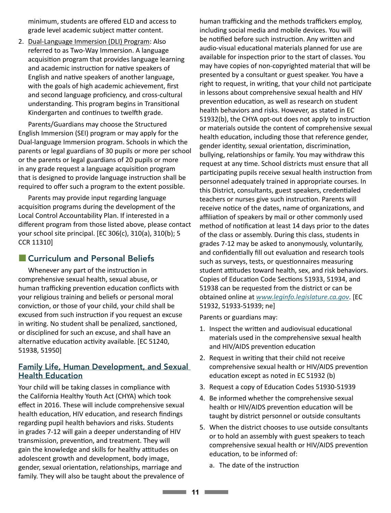minimum, students are offered ELD and access to grade level academic subject matter content.

2. Dual-Language Immersion (DLI) Program: Also referred to as Two-Way Immersion. A language acquisition program that provides language learning and academic instruction for native speakers of English and native speakers of another language, with the goals of high academic achievement, first and second language proficiency, and cross-cultural understanding. This program begins in Transitional Kindergarten and continues to twelfth grade.

Parents/Guardians may choose the Structured English Immersion (SEI) program or may apply for the Dual-language Immersion program. Schools in which the parents or legal guardians of 30 pupils or more per school or the parents or legal guardians of 20 pupils or more in any grade request a language acquisition program that is designed to provide language instruction shall be required to offer such a program to the extent possible.

Parents may provide input regarding language acquisition programs during the development of the Local Control Accountability Plan. If interested in a different program from those listed above, please contact your school site principal. [EC 306(c), 310(a), 310(b); 5 CCR 11310]

### ■ Curriculum and Personal Beliefs

Whenever any part of the instruction in comprehensive sexual health, sexual abuse, or human trafficking prevention education conflicts with your religious training and beliefs or personal moral conviction, or those of your child, your child shall be excused from such instruction if you request an excuse in writing. No student shall be penalized, sanctioned, or disciplined for such an excuse, and shall have an alternative education activity available. [EC 51240, 51938, 51950]

## Family Life, Human Development, and Sexual Health Education

Your child will be taking classes in compliance with the California Healthy Youth Act (CHYA) which took effect in 2016. These will include comprehensive sexual health education, HIV education, and research findings regarding pupil health behaviors and risks. Students in grades 7-12 will gain a deeper understanding of HIV transmission, prevention, and treatment. They will gain the knowledge and skills for healthy attitudes on adolescent growth and development, body image, gender, sexual orientation, relationships, marriage and family. They will also be taught about the prevalence of human trafficking and the methods traffickers employ, including social media and mobile devices. You will be notified before such instruction. Any written and audio-visual educational materials planned for use are available for inspection prior to the start of classes. You may have copies of non-copyrighted material that will be presented by a consultant or guest speaker. You have a right to request, in writing, that your child not participate in lessons about comprehensive sexual health and HIV prevention education, as well as research on student health behaviors and risks. However, as stated in EC 51932(b), the CHYA opt-out does not apply to instruction or materials outside the content of comprehensive sexual health education, including those that reference gender, gender identity, sexual orientation, discrimination, bullying, relationships or family. You may withdraw this request at any time. School districts must ensure that all participating pupils receive sexual health instruction from personnel adequately trained in appropriate courses. In this District, consultants, guest speakers, credentialed teachers or nurses give such instruction. Parents will receive notice of the dates, name of organizations, and affiliation of speakers by mail or other commonly used method of notification at least 14 days prior to the dates of the class or assembly. During this class, students in grades 7-12 may be asked to anonymously, voluntarily, and confidentially fill out evaluation and research tools such as surveys, tests, or questionnaires measuring student attitudes toward health, sex, and risk behaviors. Copies of Education Code Sections 51933, 51934, and 51938 can be requested from the district or can be obtained online at *www.leginfo.legislature.ca.gov*. [EC 51932, 51933-51939; ne]

Parents or guardians may:

- 1. Inspect the written and audiovisual educational materials used in the comprehensive sexual health and HIV/AIDS prevention education
- 2. Request in writing that their child not receive comprehensive sexual health or HIV/AIDS prevention education except as noted in EC 51932 (b)
- 3. Request a copy of Education Codes 51930-51939
- 4. Be informed whether the comprehensive sexual health or HIV/AIDS prevention education will be taught by district personnel or outside consultants
- 5. When the district chooses to use outside consultants or to hold an assembly with guest speakers to teach comprehensive sexual health or HIV/AIDS prevention education, to be informed of:
	- a. The date of the instruction

n**11**n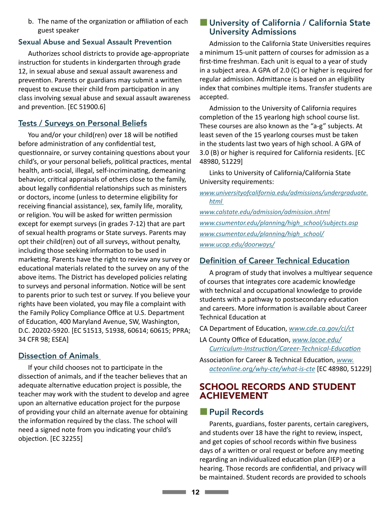b. The name of the organization or affiliation of each guest speaker

## Sexual Abuse and Sexual Assault Prevention

Authorizes school districts to provide age-appropriate instruction for students in kindergarten through grade 12, in sexual abuse and sexual assault awareness and prevention. Parents or guardians may submit a written request to excuse their child from participation in any class involving sexual abuse and sexual assault awareness and prevention. [EC 51900.6]

## Tests / Surveys on Personal Beliefs

You and/or your child(ren) over 18 will be notified before administration of any confidential test, questionnaire, or survey containing questions about your child's, or your personal beliefs, political practices, mental health, anti-social, illegal, self-incriminating, demeaning behavior, critical appraisals of others close to the family, about legally confidential relationships such as ministers or doctors, income (unless to determine eligibility for receiving financial assistance), sex, family life, morality, or religion. You will be asked for written permission except for exempt surveys (in grades 7-12) that are part of sexual health programs or State surveys. Parents may opt their child(ren) out of all surveys, without penalty, including those seeking information to be used in marketing. Parents have the right to review any survey or educational materials related to the survey on any of the above items. The District has developed policies relating to surveys and personal information. Notice will be sent to parents prior to such test or survey. If you believe your rights have been violated, you may file a complaint with the Family Policy Compliance Office at U.S. Department of Education, 400 Maryland Avenue, SW, Washington, D.C. 20202-5920. [EC 51513, 51938, 60614; 60615; PPRA; 34 CFR 98; ESEA]

## Dissection of Animals

If your child chooses not to participate in the dissection of animals, and if the teacher believes that an adequate alternative education project is possible, the teacher may work with the student to develop and agree upon an alternative education project for the purpose of providing your child an alternate avenue for obtaining the information required by the class. The school will need a signed note from you indicating your child's objection. [EC 32255]

## ■ University of California / California State University Admissions

Admission to the California State Universities requires a minimum 15-unit pattern of courses for admission as a first-time freshman. Each unit is equal to a year of study in a subject area. A GPA of 2.0 (C) or higher is required for regular admission. Admittance is based on an eligibility index that combines multiple items. Transfer students are accepted.

Admission to the University of California requires completion of the 15 yearlong high school course list. These courses are also known as the "a-g" subjects. At least seven of the 15 yearlong courses must be taken in the students last two years of high school. A GPA of 3.0 (B) or higher is required for California residents. [EC 48980, 51229]

Links to University of California/California State University requirements:

*www.universityofcalifornia.edu/admissions/undergraduate. html* 

*www.calstate.edu/admission/admission.shtml www.csumentor.edu/planning/high\_school/subjects.asp www.csumentor.edu/planning/high\_school/ www.ucop.edu/doorways/*

## Definition of Career Technical Education

A program of study that involves a multiyear sequence of courses that integrates core academic knowledge with technical and occupational knowledge to provide students with a pathway to postsecondary education and careers. More information is available about Career Technical Education at

CA Department of Education, *www.cde.ca.gov/ci/ct*

LA County Office of Education, *www.lacoe.edu/ Curriculum-Instruction/Career-Technical-Education*

Association for Career & Technical Education, *www. acteonline.org/why-cte/what-is-cte* [EC 48980, 51229]

## SCHOOL RECORDS AND STUDENT ACHIEVEMENT

## **E** Pupil Records

Parents, guardians, foster parents, certain caregivers, and students over 18 have the right to review, inspect, and get copies of school records within five business days of a written or oral request or before any meeting regarding an individualized education plan (IEP) or a hearing. Those records are confidential, and privacy will be maintained. Student records are provided to schools

**12 12**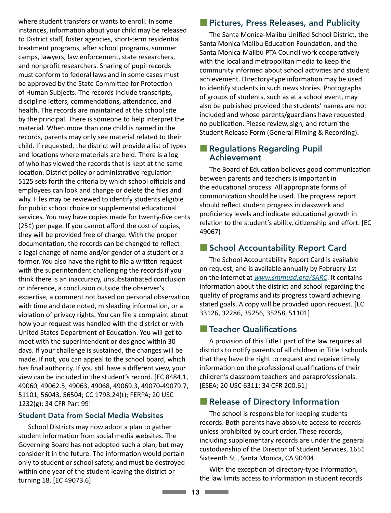where student transfers or wants to enroll. In some instances, information about your child may be released to District staff, foster agencies, short-term residential treatment programs, after school programs, summer camps, lawyers, law enforcement, state researchers, and nonprofit researchers. Sharing of pupil records must conform to federal laws and in some cases must be approved by the State Committee for Protection of Human Subjects. The records include transcripts, discipline letters, commendations, attendance, and health. The records are maintained at the school site by the principal. There is someone to help interpret the material. When more than one child is named in the records, parents may only see material related to their child. If requested, the district will provide a list of types and locations where materials are held. There is a log of who has viewed the records that is kept at the same location. District policy or administrative regulation 5125 sets forth the criteria by which school officials and employees can look and change or delete the files and why. Files may be reviewed to identify students eligible for public school choice or supplemental educational services. You may have copies made for twenty-five cents (25¢) per page. If you cannot afford the cost of copies, they will be provided free of charge. With the proper documentation, the records can be changed to reflect a legal change of name and/or gender of a student or a former. You also have the right to file a written request with the superintendent challenging the records if you think there is an inaccuracy, unsubstantiated conclusion or inference, a conclusion outside the observer's expertise, a comment not based on personal observation with time and date noted, misleading information, or a violation of privacy rights. You can file a complaint about how your request was handled with the district or with United States Department of Education. You will get to meet with the superintendent or designee within 30 days. If your challenge is sustained, the changes will be made. If not, you can appeal to the school board, which has final authority. If you still have a different view, your view can be included in the student's record. [EC 8484.1, 49060, 49062.5, 49063, 49068, 49069.3, 49070-49079.7, 51101, 56043, 56504; CC 1798.24(t); FERPA; 20 USC 1232(g); 34 CFR Part 99]

#### Student Data from Social Media Websites

School Districts may now adopt a plan to gather student information from social media websites. The Governing Board has not adopted such a plan, but may consider it in the future. The information would pertain only to student or school safety, and must be destroyed within one year of the student leaving the district or turning 18. [EC 49073.6]

#### ■ Pictures, Press Releases, and Publicity

The Santa Monica-Malibu Unified School District, the Santa Monica Malibu Education Foundation, and the Santa Monica-Malibu PTA Council work cooperatively with the local and metropolitan media to keep the community informed about school activities and student achievement. Directory-type information may be used to identify students in such news stories. Photographs of groups of students, such as at a school event, may also be published provided the students' names are not included and whose parents/guardians have requested no publication. Please review, sign, and return the Student Release Form (General Filming & Recording).

#### ■ Regulations Regarding Pupil Achievement

The Board of Education believes good communication between parents and teachers is important in the educational process. All appropriate forms of communication should be used. The progress report should reflect student progress in classwork and proficiency levels and indicate educational growth in relation to the student's ability, citizenship and effort. [EC 49067]

## ■ School Accountability Report Card

The School Accountability Report Card is available on request, and is available annually by February 1st on the internet at *www.smmusd.org/SARC*. It contains information about the district and school regarding the quality of programs and its progress toward achieving stated goals. A copy will be provided upon request. [EC 33126, 32286, 35256, 35258, 51101]

#### **E** Teacher Qualifications

A provision of this Title I part of the law requires all districts to notify parents of all children in Title I schools that they have the right to request and receive timely information on the professional qualifications of their children's classroom teachers and paraprofessionals. [ESEA; 20 USC 6311; 34 CFR 200.61]

### ■ Release of Directory Information

The school is responsible for keeping students records. Both parents have absolute access to records unless prohibited by court order. These records, including supplementary records are under the general custodianship of the Director of Student Services, 1651 Sixteenth St., Santa Monica, CA 90404.

With the exception of directory-type information, the law limits access to information in student records

**13 13 13**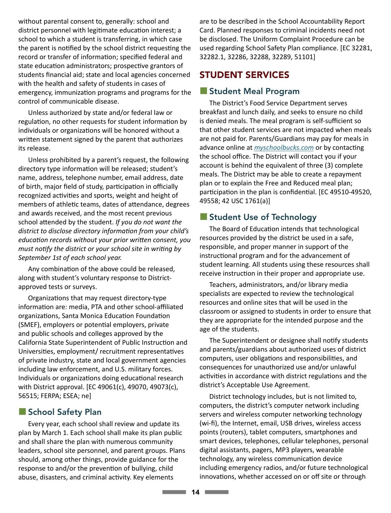without parental consent to, generally: school and district personnel with legitimate education interest; a school to which a student is transferring, in which case the parent is notified by the school district requesting the record or transfer of information; specified federal and state education administrators; prospective grantors of students financial aid; state and local agencies concerned with the health and safety of students in cases of emergency, immunization programs and programs for the control of communicable disease.

Unless authorized by state and/or federal law or regulation, no other requests for student information by individuals or organizations will be honored without a written statement signed by the parent that authorizes its release.

Unless prohibited by a parent's request, the following directory type information will be released; student's name, address, telephone number, email address, date of birth, major field of study, participation in officially recognized activities and sports, weight and height of members of athletic teams, dates of attendance, degrees and awards received, and the most recent previous school attended by the student. *If you do not want the district to disclose directory information from your child's education records without your prior written consent, you must notify the district or your school site in writing by September 1st of each school year.*

Any combination of the above could be released, along with student's voluntary response to Districtapproved tests or surveys.

Organizations that may request directory-type information are: media, PTA and other school-affiliated organizations, Santa Monica Education Foundation (SMEF), employers or potential employers, private and public schools and colleges approved by the California State Superintendent of Public Instruction and Universities, employment/ recruitment representatives of private industry, state and local government agencies including law enforcement, and U.S. military forces. Individuals or organizations doing educational research with District approval. [EC 49061(c), 49070, 49073(c), 56515; FERPA; ESEA; ne]

#### ■ School Safety Plan

Every year, each school shall review and update its plan by March 1. Each school shall make its plan public and shall share the plan with numerous community leaders, school site personnel, and parent groups. Plans should, among other things, provide guidance for the response to and/or the prevention of bullying, child abuse, disasters, and criminal activity. Key elements

are to be described in the School Accountability Report Card. Planned responses to criminal incidents need not be disclosed. The Uniform Complaint Procedure can be used regarding School Safety Plan compliance. [EC 32281, 32282.1, 32286, 32288, 32289, 51101]

## STUDENT SERVICES

#### ■ Student Meal Program

The District's Food Service Department serves breakfast and lunch daily, and seeks to ensure no child is denied meals. The meal program is self-sufficient so that other student services are not impacted when meals are not paid for. Parents/Guardians may pay for meals in advance online at *myschoolbucks.com* or by contacting the school office. The District will contact you if your account is behind the equivalent of three (3) complete meals. The District may be able to create a repayment plan or to explain the Free and Reduced meal plan; participation in the plan is confidential. [EC 49510-49520, 49558; 42 USC 1761(a)]

#### ■ Student Use of Technology

The Board of Education intends that technological resources provided by the district be used in a safe, responsible, and proper manner in support of the instructional program and for the advancement of student learning. All students using these resources shall receive instruction in their proper and appropriate use.

Teachers, administrators, and/or library media specialists are expected to review the technological resources and online sites that will be used in the classroom or assigned to students in order to ensure that they are appropriate for the intended purpose and the age of the students.

The Superintendent or designee shall notify students and parents/guardians about authorized uses of district computers, user obligations and responsibilities, and consequences for unauthorized use and/or unlawful activities in accordance with district regulations and the district's Acceptable Use Agreement.

District technology includes, but is not limited to, computers, the district's computer network including servers and wireless computer networking technology (wi-fi), the Internet, email, USB drives, wireless access points (routers), tablet computers, smartphones and smart devices, telephones, cellular telephones, personal digital assistants, pagers, MP3 players, wearable technology, any wireless communication device including emergency radios, and/or future technological innovations, whether accessed on or off site or through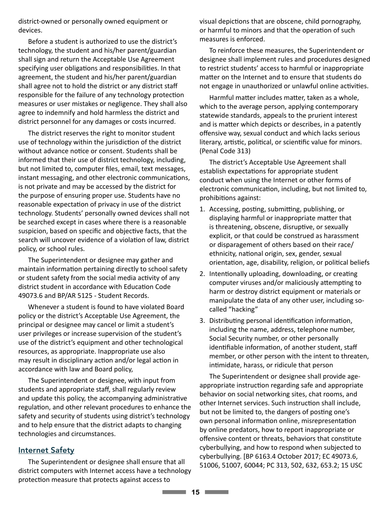district-owned or personally owned equipment or devices.

Before a student is authorized to use the district's technology, the student and his/her parent/guardian shall sign and return the Acceptable Use Agreement specifying user obligations and responsibilities. In that agreement, the student and his/her parent/guardian shall agree not to hold the district or any district staff responsible for the failure of any technology protection measures or user mistakes or negligence. They shall also agree to indemnify and hold harmless the district and district personnel for any damages or costs incurred.

The district reserves the right to monitor student use of technology within the jurisdiction of the district without advance notice or consent. Students shall be informed that their use of district technology, including, but not limited to, computer files, email, text messages, instant messaging, and other electronic communications, is not private and may be accessed by the district for the purpose of ensuring proper use. Students have no reasonable expectation of privacy in use of the district technology. Students' personally owned devices shall not be searched except in cases where there is a reasonable suspicion, based on specific and objective facts, that the search will uncover evidence of a violation of law, district policy, or school rules.

The Superintendent or designee may gather and maintain information pertaining directly to school safety or student safety from the social media activity of any district student in accordance with Education Code 49073.6 and BP/AR 5125 - Student Records.

Whenever a student is found to have violated Board policy or the district's Acceptable Use Agreement, the principal or designee may cancel or limit a student's user privileges or increase supervision of the student's use of the district's equipment and other technological resources, as appropriate. Inappropriate use also may result in disciplinary action and/or legal action in accordance with law and Board policy,

The Superintendent or designee, with input from students and appropriate staff, shall regularly review and update this policy, the accompanying administrative regulation, and other relevant procedures to enhance the safety and security of students using district's technology and to help ensure that the district adapts to changing technologies and circumstances.

#### **Internet Safety**

The Superintendent or designee shall ensure that all district computers with Internet access have a technology protection measure that protects against access to

visual depictions that are obscene, child pornography, or harmful to minors and that the operation of such measures is enforced.

To reinforce these measures, the Superintendent or designee shall implement rules and procedures designed to restrict students' access to harmful or inappropriate matter on the Internet and to ensure that students do not engage in unauthorized or unlawful online activities.

Harmful matter includes matter, taken as a whole, which to the average person, applying contemporary statewide standards, appeals to the prurient interest and is matter which depicts or describes, in a patently offensive way, sexual conduct and which lacks serious literary, artistic, political, or scientific value for minors. (Penal Code 313)

The district's Acceptable Use Agreement shall establish expectations for appropriate student conduct when using the Internet or other forms of electronic communication, including, but not limited to, prohibitions against:

- 1. Accessing, posting, submitting, publishing, or displaying harmful or inappropriate matter that is threatening, obscene, disruptive, or sexually explicit, or that could be construed as harassment or disparagement of others based on their race/ ethnicity, national origin, sex, gender, sexual orientation, age, disability, religion, or political beliefs
- 2. Intentionally uploading, downloading, or creating computer viruses and/or maliciously attempting to harm or destroy district equipment or materials or manipulate the data of any other user, including socalled "hacking"
- 3. Distributing personal identification information, including the name, address, telephone number, Social Security number, or other personally identifiable information, of another student, staff member, or other person with the intent to threaten, intimidate, harass, or ridicule that person

The Superintendent or designee shall provide ageappropriate instruction regarding safe and appropriate behavior on social networking sites, chat rooms, and other Internet services. Such instruction shall include, but not be limited to, the dangers of posting one's own personal information online, misrepresentation by online predators, how to report inappropriate or offensive content or threats, behaviors that constitute cyberbullying, and how to respond when subjected to cyberbullying. [BP 6163.4 October 2017; EC 49073.6, 51006, 51007, 60044; PC 313, 502, 632, 653.2; 15 USC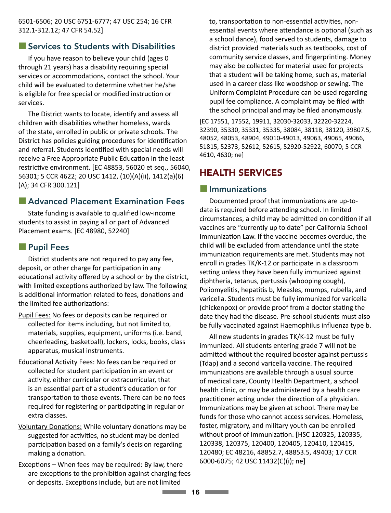6501-6506; 20 USC 6751-6777; 47 USC 254; 16 CFR 312.1-312.12; 47 CFR 54.52]

### $\blacksquare$  Services to Students with Disabilities

If you have reason to believe your child (ages 0 through 21 years) has a disability requiring special services or accommodations, contact the school. Your child will be evaluated to determine whether he/she is eligible for free special or modified instruction or services.

The District wants to locate, identify and assess all children with disabilities whether homeless, wards of the state, enrolled in public or private schools. The District has policies guiding procedures for identification and referral. Students identified with special needs will receive a Free Appropriate Public Education in the least restrictive environment. [EC 48853, 56020 et seq., 56040, 56301; 5 CCR 4622; 20 USC 1412, (10)(A)(ii), 1412(a)(6) (A); 34 CFR 300.121]

#### ■ Advanced Placement Examination Fees

State funding is available to qualified low-income students to assist in paying all or part of Advanced Placement exams. [EC 48980, 52240]

### **E** Pupil Fees

District students are not required to pay any fee, deposit, or other charge for participation in any educational activity offered by a school or by the district, with limited exceptions authorized by law. The following is additional information related to fees, donations and the limited fee authorizations:

- Pupil Fees: No fees or deposits can be required or collected for items including, but not limited to, materials, supplies, equipment, uniforms (i.e. band, cheerleading, basketball), lockers, locks, books, class apparatus, musical instruments.
- Educational Activity Fees: No fees can be required or collected for student participation in an event or activity, either curricular or extracurricular, that is an essential part of a student's education or for transportation to those events. There can be no fees required for registering or participating in regular or extra classes.
- Voluntary Donations: While voluntary donations may be suggested for activities, no student may be denied participation based on a family's decision regarding making a donation.
- Exceptions When fees may be required: By law, there are exceptions to the prohibition against charging fees or deposits. Exceptions include, but are not limited

to, transportation to non-essential activities, nonessential events where attendance is optional (such as a school dance), food served to students, damage to district provided materials such as textbooks, cost of community service classes, and fingerprinting. Money may also be collected for material used for projects that a student will be taking home, such as, material used in a career class like woodshop or sewing. The Uniform Complaint Procedure can be used regarding pupil fee compliance. A complaint may be filed with the school principal and may be filed anonymously.

[EC 17551, 17552, 19911, 32030-32033, 32220-32224, 32390, 35330, 35331, 35335, 38084, 38118, 38120, 39807.5, 48052, 48053, 48904, 49010-49013, 49063, 49065, 49066, 51815, 52373, 52612, 52615, 52920-52922, 60070; 5 CCR 4610, 4630; ne]

## HEALTH SERVICES

#### *I* Immunizations

Documented proof that immunizations are up-todate is required before attending school. In limited circumstances, a child may be admitted on condition if all vaccines are "currently up to date" per California School Immunization Law. If the vaccine becomes overdue, the child will be excluded from attendance until the state immunization requirements are met. Students may not enroll in grades TK/K-12 or participate in a classroom setting unless they have been fully immunized against diphtheria, tetanus, pertussis (whooping cough), Poliomyelitis, hepatitis b, Measles, mumps, rubella, and varicella. Students must be fully immunized for varicella (chickenpox) or provide proof from a doctor stating the date they had the disease. Pre-school students must also be fully vaccinated against Haemophilus influenza type b.

All new students in grades TK/K-12 must be fully immunized. All students entering grade 7 will not be admitted without the required booster against pertussis (Tdap) and a second varicella vaccine. The required immunizations are available through a usual source of medical care, County Health Department, a school health clinic, or may be administered by a health care practitioner acting under the direction of a physician. Immunizations may be given at school. There may be funds for those who cannot access services. Homeless, foster, migratory, and military youth can be enrolled without proof of immunization. [HSC 120325, 120335, 120338, 120375, 120400, 120405, 120410, 120415, 120480; EC 48216, 48852.7, 48853.5, 49403; 17 CCR 6000-6075; 42 USC 11432(C)(i); ne]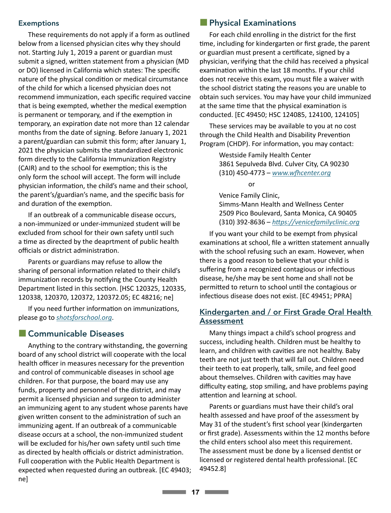#### Exemptions

These requirements do not apply if a form as outlined below from a licensed physician cites why they should not. Starting July 1, 2019 a parent or guardian must submit a signed, written statement from a physician (MD or DO) licensed in California which states: The specific nature of the physical condition or medical circumstance of the child for which a licensed physician does not recommend immunization, each specific required vaccine that is being exempted, whether the medical exemption is permanent or temporary, and if the exemption in temporary, an expiration date not more than 12 calendar months from the date of signing. Before January 1, 2021 a parent/guardian can submit this form; after January 1, 2021 the physician submits the standardized electronic form directly to the California Immunization Registry (CAIR) and to the school for exemption; this is the only form the school will accept. The form will include physician information, the child's name and their school, the parent's/guardian's name, and the specific basis for and duration of the exemption.

If an outbreak of a communicable disease occurs, a non-immunized or under-immunized student will be excluded from school for their own safety until such a time as directed by the deaprtment of public health officials or district administration.

Parents or guardians may refuse to allow the sharing of personal information related to their child's immunization records by notifying the County Health Department listed in this section. [HSC 120325, 120335, 120338, 120370, 120372, 120372.05; EC 48216; ne]

If you need further information on immunizations, please go to *shotsforschool.org*.

#### ■ Communicable Diseases

Anything to the contrary withstanding, the governing board of any school district will cooperate with the local health officer in measures necessary for the prevention and control of communicable diseases in school age children. For that purpose, the board may use any funds, property and personnel of the district, and may permit a licensed physician and surgeon to administer an immunizing agent to any student whose parents have given written consent to the administration of such an immunizing agent. If an outbreak of a communicable disease occurs at a school, the non-immunized student will be excluded for his/her own safety until such time as directed by health officials or district administration. Full cooperation with the Public Health Department is expected when requested during an outbreak. [EC 49403; ne]

#### **Examinations**

For each child enrolling in the district for the first time, including for kindergarten or first grade, the parent or guardian must present a certificate, signed by a physician, verifying that the child has received a physical examination within the last 18 months. If your child does not receive this exam, you must file a waiver with the school district stating the reasons you are unable to obtain such services. You may have your child immunized at the same time that the physical examination is conducted. [EC 49450; HSC 124085, 124100, 124105]

These services may be available to you at no cost through the Child Health and Disability Prevention Program (CHDP). For information, you may contact:

> Westside Family Health Center 3861 Sepulveda Blvd. Culver City, CA 90230 (310) 450-4773 – *www.wfhcenter.org*

**or** the contract of  $\alpha$ 

Venice Family Clinic, Simms-Mann Health and Wellness Center 2509 Pico Boulevard, Santa Monica, CA 90405 (310) 392-8636 – *https://venicefamilyclinic.org*

If you want your child to be exempt from physical examinations at school, file a written statement annually with the school refusing such an exam. However, when there is a good reason to believe that your child is suffering from a recognized contagious or infectious disease, he/she may be sent home and shall not be permitted to return to school until the contagious or infectious disease does not exist. [EC 49451; PPRA]

#### Kindergarten and / or First Grade Oral Health **Assessment**

Many things impact a child's school progress and success, including health. Children must be healthy to learn, and children with cavities are not healthy. Baby teeth are not just teeth that will fall out. Children need their teeth to eat properly, talk, smile, and feel good about themselves. Children with cavities may have difficulty eating, stop smiling, and have problems paying attention and learning at school.

Parents or guardians must have their child's oral health assessed and have proof of the assessment by May 31 of the student's first school year (kindergarten or first grade). Assessments within the 12 months before the child enters school also meet this requirement. The assessment must be done by a licensed dentist or licensed or registered dental health professional. [EC 49452.8]

n**17**n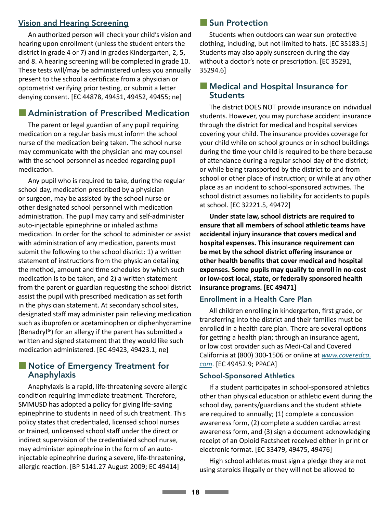#### Vision and Hearing Screening

An authorized person will check your child's vision and hearing upon enrollment (unless the student enters the district in grade 4 or 7) and in grades Kindergarten, 2, 5, and 8. A hearing screening will be completed in grade 10. These tests will/may be administered unless you annually present to the school a certificate from a physician or optometrist verifying prior testing, or submit a letter denying consent. [EC 44878, 49451, 49452, 49455; ne]

## ■ Administration of Prescribed Medication

The parent or legal guardian of any pupil requiring medication on a regular basis must inform the school nurse of the medication being taken. The school nurse may communicate with the physician and may counsel with the school personnel as needed regarding pupil medication.

Any pupil who is required to take, during the regular school day, medication prescribed by a physician or surgeon, may be assisted by the school nurse or other designated school personnel with medication administration. The pupil may carry and self-administer auto-injectable epinephrine or inhaled asthma medication. In order for the school to administer or assist with administration of any medication, parents must submit the following to the school district: 1) a written statement of instructions from the physician detailing the method, amount and time schedules by which such medication is to be taken, and 2) a written statement from the parent or guardian requesting the school district assist the pupil with prescribed medication as set forth in the physician statement. At secondary school sites, designated staff may administer pain relieving medication such as ibuprofen or acetaminophen or diphenhydramine (Benadryl®) for an allergy if the parent has submitted a written and signed statement that they would like such medication administered. [EC 49423, 49423.1; ne]

### ■ Notice of Emergency Treatment for Anaphylaxis

Anaphylaxis is a rapid, life-threatening severe allergic condition requiring immediate treatment. Therefore, SMMUSD has adopted a policy for giving life-saving epinephrine to students in need of such treatment. This policy states that credentialed, licensed school nurses or trained, unlicensed school staff under the direct or indirect supervision of the credentialed school nurse, may administer epinephrine in the form of an autoinjectable epinephrine during a severe, life-threatening, allergic reaction. [BP 5141.27 August 2009; EC 49414]

#### **E** Sun Protection

Students when outdoors can wear sun protective clothing, including, but not limited to hats. [EC 35183.5] Students may also apply sunscreen during the day without a doctor's note or prescription. [EC 35291, 35294.6]

### ■ Medical and Hospital Insurance for Students

The district DOES NOT provide insurance on individual students. However, you may purchase accident insurance through the district for medical and hospital services covering your child. The insurance provides coverage for your child while on school grounds or in school buildings during the time your child is required to be there because of attendance during a regular school day of the district; or while being transported by the district to and from school or other place of instruction; or while at any other place as an incident to school-sponsored activities. The school district assumes no liability for accidents to pupils at school. [EC 32221.5, 49472]

**Under state law, school districts are required to ensure that all members of school athletic teams have accidental injury insurance that covers medical and hospital expenses. This insurance requirement can be met by the school district offering insurance or other health benefits that cover medical and hospital expenses. Some pupils may qualify to enroll in no-cost or low-cost local, state, or federally sponsored health insurance programs. [EC 49471]**

#### Enrollment in a Health Care Plan

All children enrolling in kindergarten, first grade, or transferring into the district and their families must be enrolled in a health care plan. There are several options for getting a health plan; through an insurance agent, or low cost provider such as Medi-Cal and Covered California at (800) 300-1506 or online at *www.coveredca. com*. [EC 49452.9; PPACA]

#### School-Sponsored Athletics

If a student participates in school-sponsored athletics other than physical education or athletic event during the school day, parents/guardians and the student athlete are required to annually; (1) complete a concussion awareness form, (2) complete a sudden cardiac arrest awareness form, and (3) sign a document acknowledging receipt of an Opioid Factsheet received either in print or electronic format. [EC 33479, 49475, 49476]

High school athletes must sign a pledge they are not using steroids illegally or they will not be allowed to

n**18**n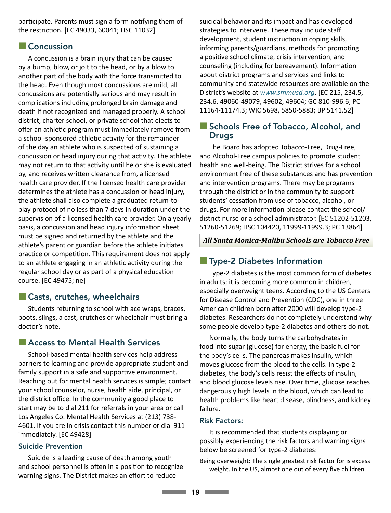participate. Parents must sign a form notifying them of the restriction. [EC 49033, 60041; HSC 11032]

### **Concussion**

A concussion is a brain injury that can be caused by a bump, blow, or jolt to the head, or by a blow to another part of the body with the force transmitted to the head. Even though most concussions are mild, all concussions are potentially serious and may result in complications including prolonged brain damage and death if not recognized and managed properly. A school district, charter school, or private school that elects to offer an athletic program must immediately remove from a school-sponsored athletic activity for the remainder of the day an athlete who is suspected of sustaining a concussion or head injury during that activity. The athlete may not return to that activity until he or she is evaluated by, and receives written clearance from, a licensed health care provider. If the licensed health care provider determines the athlete has a concussion or head injury, the athlete shall also complete a graduated return-toplay protocol of no less than 7 days in duration under the supervision of a licensed health care provider. On a yearly basis, a concussion and head injury information sheet must be signed and returned by the athlete and the athlete's parent or guardian before the athlete initiates practice or competition. This requirement does not apply to an athlete engaging in an athletic activity during the regular school day or as part of a physical education course. [EC 49475; ne]

## ■ Casts, crutches, wheelchairs

Students returning to school with ace wraps, braces, boots, slings, a cast, crutches or wheelchair must bring a doctor's note.

## ■ Access to Mental Health Services

School-based mental health services help address barriers to learning and provide appropriate student and family support in a safe and supportive environment. Reaching out for mental health services is simple; contact your school counselor, nurse, health aide, principal, or the district office. In the community a good place to start may be to dial 211 for referrals in your area or call Los Angeles Co. Mental Health Services at (213) 738- 4601. If you are in crisis contact this number or dial 911 immediately. [EC 49428]

#### Suicide Prevention

Suicide is a leading cause of death among youth and school personnel is often in a position to recognize warning signs. The District makes an effort to reduce

suicidal behavior and its impact and has developed strategies to intervene. These may include staff development, student instruction in coping skills, informing parents/guardians, methods for promoting a positive school climate, crisis intervention, and counseling (including for bereavement). Information about district programs and services and links to community and statewide resources are available on the District's website at *www.smmusd.org*. [EC 215, 234.5, 234.6, 49060-49079, 49602, 49604; GC 810-996.6; PC 11164-11174.3; WIC 5698, 5850-5883; BP 5141.52]

## ■ Schools Free of Tobacco, Alcohol, and **Drugs**

The Board has adopted Tobacco-Free, Drug-Free, and Alcohol-Free campus policies to promote student health and well-being. The District strives for a school environment free of these substances and has prevention and intervention programs. There may be programs through the district or in the community to support students' cessation from use of tobacco, alcohol, or drugs. For more information please contact the school/ district nurse or a school administrator. [EC 51202-51203, 51260-51269; HSC 104420, 11999-11999.3; PC 13864]

*All Santa Monica-Malibu Schools are Tobacco Free*

## ■ Type-2 Diabetes Information

Type-2 diabetes is the most common form of diabetes in adults; it is becoming more common in children, especially overweight teens. According to the US Centers for Disease Control and Prevention (CDC), one in three American children born after 2000 will develop type-2 diabetes. Researchers do not completely understand why some people develop type-2 diabetes and others do not.

Normally, the body turns the carbohydrates in food into sugar (glucose) for energy, the basic fuel for the body's cells. The pancreas makes insulin, which moves glucose from the blood to the cells. In type-2 diabetes, the body's cells resist the effects of insulin, and blood glucose levels rise. Over time, glucose reaches dangerously high levels in the blood, which can lead to health problems like heart disease, blindness, and kidney failure.

#### Risk Factors:

It is recommended that students displaying or possibly experiencing the risk factors and warning signs below be screened for type-2 diabetes:

Being overweight: The single greatest risk factor for is excess weight. In the US, almost one out of every five children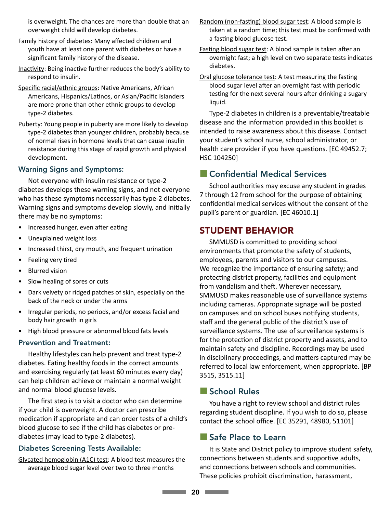is overweight. The chances are more than double that an overweight child will develop diabetes.

- Family history of diabetes: Many affected children and youth have at least one parent with diabetes or have a significant family history of the disease.
- Inactivity: Being inactive further reduces the body's ability to respond to insulin.
- Specific racial/ethnic groups: Native Americans, African Americans, Hispanics/Latinos, or Asian/Pacific Islanders are more prone than other ethnic groups to develop type-2 diabetes.
- Puberty: Young people in puberty are more likely to develop type-2 diabetes than younger children, probably because of normal rises in hormone levels that can cause insulin resistance during this stage of rapid growth and physical development.

#### Warning Signs and Symptoms:

Not everyone with insulin resistance or type-2 diabetes develops these warning signs, and not everyone who has these symptoms necessarily has type-2 diabetes. Warning signs and symptoms develop slowly, and initially there may be no symptoms:

- Increased hunger, even after eating
- Unexplained weight loss
- Increased thirst, dry mouth, and frequent urination
- Feeling very tired
- Blurred vision
- Slow healing of sores or cuts
- Dark velvety or ridged patches of skin, especially on the back of the neck or under the arms
- Irregular periods, no periods, and/or excess facial and body hair growth in girls
- High blood pressure or abnormal blood fats levels

#### Prevention and Treatment:

Healthy lifestyles can help prevent and treat type-2 diabetes. Eating healthy foods in the correct amounts and exercising regularly (at least 60 minutes every day) can help children achieve or maintain a normal weight and normal blood glucose levels.

The first step is to visit a doctor who can determine if your child is overweight. A doctor can prescribe medication if appropriate and can order tests of a child's blood glucose to see if the child has diabetes or prediabetes (may lead to type-2 diabetes).

#### Diabetes Screening Tests Available:

Glycated hemoglobin (A1C) test: A blood test measures the average blood sugar level over two to three months

- Random (non-fasting) blood sugar test: A blood sample is taken at a random time; this test must be confirmed with a fasting blood glucose test.
- Fasting blood sugar test: A blood sample is taken after an overnight fast; a high level on two separate tests indicates diabetes.
- Oral glucose tolerance test: A test measuring the fasting blood sugar level after an overnight fast with periodic testing for the next several hours after drinking a sugary liquid.

Type-2 diabetes in children is a preventable/treatable disease and the information provided in this booklet is intended to raise awareness about this disease. Contact your student's school nurse, school administrator, or health care provider if you have questions. [EC 49452.7; HSC 104250]

## ■ Confidential Medical Services

School authorities may excuse any student in grades 7 through 12 from school for the purpose of obtaining confidential medical services without the consent of the pupil's parent or guardian. [EC 46010.1]

### STUDENT BEHAVIOR

SMMUSD is committed to providing school environments that promote the safety of students, employees, parents and visitors to our campuses. We recognize the importance of ensuring safety; and protecting district property, facilities and equipment from vandalism and theft. Wherever necessary, SMMUSD makes reasonable use of surveillance systems including cameras. Appropriate signage will be posted on campuses and on school buses notifying students, staff and the general public of the district's use of surveillance systems. The use of surveillance systems is for the protection of district property and assets, and to maintain safety and discipline. Recordings may be used in disciplinary proceedings, and matters captured may be referred to local law enforcement, when appropriate. [BP 3515, 3515.11]

## ■ School Rules

You have a right to review school and district rules regarding student discipline. If you wish to do so, please contact the school office. [EC 35291, 48980, 51101]

### ■ Safe Place to Learn

It is State and District policy to improve student safety, connections between students and supportive adults, and connections between schools and communities. These policies prohibit discrimination, harassment,

**n** 20 **n** 20 **n**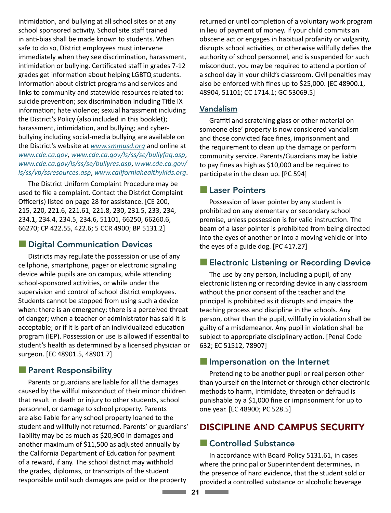intimidation, and bullying at all school sites or at any school sponsored activity. School site staff trained in anti-bias shall be made known to students. When safe to do so, District employees must intervene immediately when they see discrimination, harassment, intimidation or bullying. Certificated staff in grades 7-12 grades get information about helping LGBTQ students. Information about district programs and services and links to community and statewide resources related to: suicide prevention; sex discrimination including Title IX information; hate violence; sexual harassment including the District's Policy (also included in this booklet); harassment, intimidation, and bullying; and cyberbullying including social-media bullying are available on the District's website at *www.smmusd.org* and online at *www.cde.ca.gov*, *www.cde.ca.gov/ls/ss/se/bullyfaq.asp*, *www.cde.ca.gov/ls/ss/se/bullyres.asp*, *www.cde.ca.gov/ ls/ss/vp/ssresources.asp*, *www.californiahealthykids.org*.

The District Uniform Complaint Procedure may be used to file a complaint. Contact the District Complaint Officer(s) listed on [page 28](#page-27-1) for assistance. [CE 200, 215, 220, 221.6, 221.61, 221.8, 230, 231.5, 233, 234, 234.1, 234.4, 234.5, 234.6, 51101, 66250, 66260.6, 66270; CP 422.55, 422.6; 5 CCR 4900; BP 5131.2]

## ■ Digital Communication Devices

Districts may regulate the possession or use of any cellphone, smartphone, pager or electronic signaling device while pupils are on campus, while attending school-sponsored activities, or while under the supervision and control of school district employees. Students cannot be stopped from using such a device when: there is an emergency; there is a perceived threat of danger; when a teacher or administrator has said it is acceptable; or if it is part of an individualized education program (IEP). Possession or use is allowed if essential to student's health as determined by a licensed physician or surgeon. [EC 48901.5, 48901.7]

#### **Exercise Parent Responsibility**

Parents or guardians are liable for all the damages caused by the willful misconduct of their minor children that result in death or injury to other students, school personnel, or damage to school property. Parents are also liable for any school property loaned to the student and willfully not returned. Parents' or guardians' liability may be as much as \$20,900 in damages and another maximum of \$11,500 as adjusted annually by the California Department of Education for payment of a reward, if any. The school district may withhold the grades, diplomas, or transcripts of the student responsible until such damages are paid or the property

returned or until completion of a voluntary work program in lieu of payment of money. If your child commits an obscene act or engages in habitual profanity or vulgarity, disrupts school activities, or otherwise willfully defies the authority of school personnel, and is suspended for such misconduct, you may be required to attend a portion of a school day in your child's classroom. Civil penalties may also be enforced with fines up to \$25,000. [EC 48900.1, 48904, 51101; CC 1714.1; GC 53069.5]

#### Vandalism

Graffiti and scratching glass or other material on someone else' property is now considered vandalism and those convicted face fines, imprisonment and the requirement to clean up the damage or perform community service. Parents/Guardians may be liable to pay fines as high as \$10,000 and be required to participate in the clean up. [PC 594]

#### **Elaser Pointers**

Possession of laser pointer by any student is prohibited on any elementary or secondary school premise, unless possession is for valid instruction. The beam of a laser pointer is prohibited from being directed into the eyes of another or into a moving vehicle or into the eyes of a guide dog. [PC 417.27]

## ■ Electronic Listening or Recording Device

The use by any person, including a pupil, of any electronic listening or recording device in any classroom without the prior consent of the teacher and the principal is prohibited as it disrupts and impairs the teaching process and discipline in the schools. Any person, other than the pupil, willfully in violation shall be guilty of a misdemeanor. Any pupil in violation shall be subject to appropriate disciplinary action. [Penal Code 632; EC 51512, 78907]

#### **Expansion on the Internet**

Pretending to be another pupil or real person other than yourself on the internet or through other electronic methods to harm, intimidate, threaten or defraud is punishable by a \$1,000 fine or imprisonment for up to one year. [EC 48900; PC 528.5]

## DISCIPLINE AND CAMPUS SECURITY

## ■ Controlled Substance

mold<br>
ent
the presen<br>
property
provided a<br> **21** In accordance with Board Policy 5131.61, in cases where the principal or Superintendent determines, in the presence of hard evidence, that the student sold or provided a controlled substance or alcoholic beverage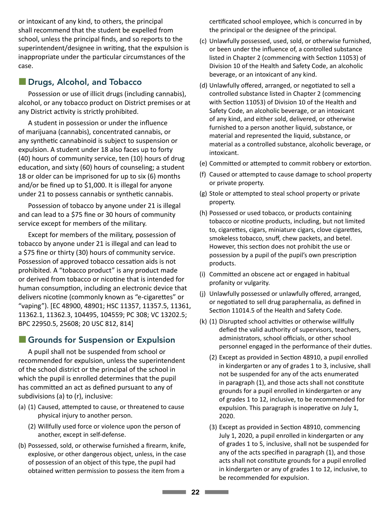or intoxicant of any kind, to others, the principal shall recommend that the student be expelled from school, unless the principal finds, and so reports to the superintendent/designee in writing, that the expulsion is inappropriate under the particular circumstances of the case.

## ■ Drugs, Alcohol, and Tobacco

Possession or use of illicit drugs (including cannabis), alcohol, or any tobacco product on District premises or at any District activity is strictly prohibited.

A student in possession or under the influence of marijuana (cannabis), concentrated cannabis, or any synthetic cannabinoid is subject to suspension or expulsion. A student under 18 also faces up to forty (40) hours of community service, ten (10) hours of drug education, and sixty (60) hours of counseling; a student 18 or older can be imprisoned for up to six (6) months and/or be fined up to \$1,000. It is illegal for anyone under 21 to possess cannabis or synthetic cannabis.

Possession of tobacco by anyone under 21 is illegal and can lead to a \$75 fine or 30 hours of community service except for members of the military.

Except for members of the military, possession of tobacco by anyone under 21 is illegal and can lead to a \$75 fine or thirty (30) hours of community service. Possession of approved tobacco cessation aids is not prohibited. A "tobacco product" is any product made or derived from tobacco or nicotine that is intended for human consumption, including an electronic device that delivers nicotine (commonly known as "e-cigarettes" or "vaping"). [EC 48900, 48901; HSC 11357, 11357.5, 11361, 11362.1, 11362.3, 104495, 104559; PC 308; VC 13202.5; BPC 22950.5, 25608; 20 USC 812, 814]

## ■ Grounds for Suspension or Expulsion

A pupil shall not be suspended from school or recommended for expulsion, unless the superintendent of the school district or the principal of the school in which the pupil is enrolled determines that the pupil has committed an act as defined pursuant to any of subdivisions (a) to (r), inclusive:

- (a) (1) Caused, attempted to cause, or threatened to cause physical injury to another person.
	- (2) Willfully used force or violence upon the person of another, except in self-defense.
- (b) Possessed, sold, or otherwise furnished a firearm, knife, explosive, or other dangerous object, unless, in the case of possession of an object of this type, the pupil had obtained written permission to possess the item from a

certificated school employee, which is concurred in by the principal or the designee of the principal.

- (c) Unlawfully possessed, used, sold, or otherwise furnished, or been under the influence of, a controlled substance listed in Chapter 2 (commencing with Section 11053) of Division 10 of the Health and Safety Code, an alcoholic beverage, or an intoxicant of any kind.
- (d) Unlawfully offered, arranged, or negotiated to sell a controlled substance listed in Chapter 2 (commencing with Section 11053) of Division 10 of the Health and Safety Code, an alcoholic beverage, or an intoxicant of any kind, and either sold, delivered, or otherwise furnished to a person another liquid, substance, or material and represented the liquid, substance, or material as a controlled substance, alcoholic beverage, or intoxicant.
- (e) Committed or attempted to commit robbery or extortion.
- (f) Caused or attempted to cause damage to school property or private property.
- (g) Stole or attempted to steal school property or private property.
- (h) Possessed or used tobacco, or products containing tobacco or nicotine products, including, but not limited to, cigarettes, cigars, miniature cigars, clove cigarettes, smokeless tobacco, snuff, chew packets, and betel. However, this section does not prohibit the use or possession by a pupil of the pupil's own prescription products.
- (i) Committed an obscene act or engaged in habitual profanity or vulgarity.
- (j) Unlawfully possessed or unlawfully offered, arranged, or negotiated to sell drug paraphernalia, as defined in Section 11014.5 of the Health and Safety Code.
- (k) (1) Disrupted school activities or otherwise willfully defied the valid authority of supervisors, teachers, administrators, school officials, or other school personnel engaged in the performance of their duties.
	- (2) Except as provided in Section 48910, a pupil enrolled in kindergarten or any of grades 1 to 3, inclusive, shall not be suspended for any of the acts enumerated in paragraph (1), and those acts shall not constitute grounds for a pupil enrolled in kindergarten or any of grades 1 to 12, inclusive, to be recommended for expulsion. This paragraph is inoperative on July 1, 2020.
	- (3) Except as provided in Section 48910, commencing July 1, 2020, a pupil enrolled in kindergarten or any of grades 1 to 5, inclusive, shall not be suspended for any of the acts specified in paragraph (1), and those acts shall not constitute grounds for a pupil enrolled in kindergarten or any of grades 1 to 12, inclusive, to be recommended for expulsion.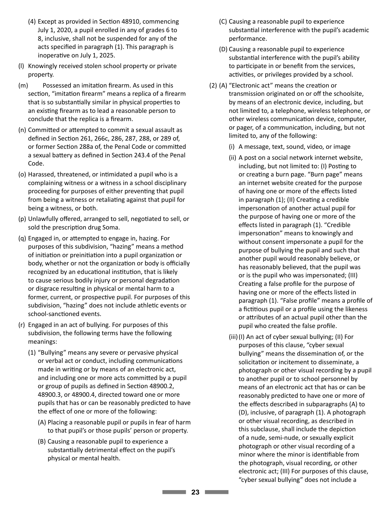- (4) Except as provided in Section 48910, commencing July 1, 2020, a pupil enrolled in any of grades 6 to 8, inclusive, shall not be suspended for any of the acts specified in paragraph (1). This paragraph is inoperative on July 1, 2025.
- (l) Knowingly received stolen school property or private property.
- (m) Possessed an imitation firearm. As used in this section, "imitation firearm" means a replica of a firearm that is so substantially similar in physical properties to an existing firearm as to lead a reasonable person to conclude that the replica is a firearm.
- (n) Committed or attempted to commit a sexual assault as defined in Section 261, 266c, 286, 287, 288, or 289 of, or former Section 288a of, the Penal Code or committed a sexual battery as defined in Section 243.4 of the Penal Code.
- (o) Harassed, threatened, or intimidated a pupil who is a complaining witness or a witness in a school disciplinary proceeding for purposes of either preventing that pupil from being a witness or retaliating against that pupil for being a witness, or both.
- (p) Unlawfully offered, arranged to sell, negotiated to sell, or sold the prescription drug Soma.
- (q) Engaged in, or attempted to engage in, hazing. For purposes of this subdivision, "hazing" means a method of initiation or preinitiation into a pupil organization or body, whether or not the organization or body is officially recognized by an educational institution, that is likely to cause serious bodily injury or personal degradation or disgrace resulting in physical or mental harm to a former, current, or prospective pupil. For purposes of this subdivision, "hazing" does not include athletic events or school-sanctioned events.
- (r) Engaged in an act of bullying. For purposes of this subdivision, the following terms have the following meanings:
	- (1) "Bullying" means any severe or pervasive physical or verbal act or conduct, including communications made in writing or by means of an electronic act, and including one or more acts committed by a pupil or group of pupils as defined in Section 48900.2, 48900.3, or 48900.4, directed toward one or more pupils that has or can be reasonably predicted to have the effect of one or more of the following:
		- (A) Placing a reasonable pupil or pupils in fear of harm to that pupil's or those pupils' person or property.
		- (B) Causing a reasonable pupil to experience a substantially detrimental effect on the pupil's physical or mental health.
- (C) Causing a reasonable pupil to experience substantial interference with the pupil's academic performance.
- (D) Causing a reasonable pupil to experience substantial interference with the pupil's ability to participate in or benefit from the services, activities, or privileges provided by a school.
- (2) (A) "Electronic act" means the creation or transmission originated on or off the schoolsite, by means of an electronic device, including, but not limited to, a telephone, wireless telephone, or other wireless communication device, computer, or pager, of a communication, including, but not limited to, any of the following:
	- (i) A message, text, sound, video, or image
	- (ii) A post on a social network internet website, including, but not limited to: (I) Posting to or creating a burn page. "Burn page" means an internet website created for the purpose of having one or more of the effects listed in paragraph (1); (II) Creating a credible impersonation of another actual pupil for the purpose of having one or more of the effects listed in paragraph (1). "Credible impersonation" means to knowingly and without consent impersonate a pupil for the purpose of bullying the pupil and such that another pupil would reasonably believe, or has reasonably believed, that the pupil was or is the pupil who was impersonated; (III) Creating a false profile for the purpose of having one or more of the effects listed in paragraph (1). "False profile" means a profile of a fictitious pupil or a profile using the likeness or attributes of an actual pupil other than the pupil who created the false profile.
	- (iii)(I) An act of cyber sexual bullying; (II) For purposes of this clause, "cyber sexual bullying" means the dissemination of, or the solicitation or incitement to disseminate, a photograph or other visual recording by a pupil to another pupil or to school personnel by means of an electronic act that has or can be reasonably predicted to have one or more of the effects described in subparagraphs (A) to (D), inclusive, of paragraph (1). A photograph or other visual recording, as described in this subclause, shall include the depiction of a nude, semi-nude, or sexually explicit photograph or other visual recording of a minor where the minor is identifiable from the photograph, visual recording, or other electronic act; (III) For purposes of this clause, "cyber sexual bullying" does not include a

**23**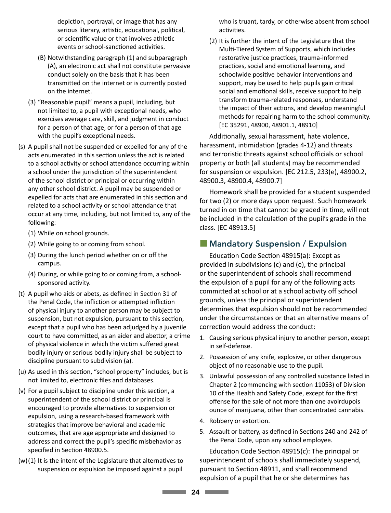depiction, portrayal, or image that has any serious literary, artistic, educational, political, or scientific value or that involves athletic events or school-sanctioned activities.

- (B) Notwithstanding paragraph (1) and subparagraph (A), an electronic act shall not constitute pervasive conduct solely on the basis that it has been transmitted on the internet or is currently posted on the internet.
- (3) "Reasonable pupil" means a pupil, including, but not limited to, a pupil with exceptional needs, who exercises average care, skill, and judgment in conduct for a person of that age, or for a person of that age with the pupil's exceptional needs.
- (s) A pupil shall not be suspended or expelled for any of the acts enumerated in this section unless the act is related to a school activity or school attendance occurring within a school under the jurisdiction of the superintendent of the school district or principal or occurring within any other school district. A pupil may be suspended or expelled for acts that are enumerated in this section and related to a school activity or school attendance that occur at any time, including, but not limited to, any of the following:
	- (1) While on school grounds.
	- (2) While going to or coming from school.
	- (3) During the lunch period whether on or off the campus.
	- (4) During, or while going to or coming from, a schoolsponsored activity.
- (t) A pupil who aids or abets, as defined in Section 31 of the Penal Code, the infliction or attempted infliction of physical injury to another person may be subject to suspension, but not expulsion, pursuant to this section, except that a pupil who has been adjudged by a juvenile court to have committed, as an aider and abettor, a crime of physical violence in which the victim suffered great bodily injury or serious bodily injury shall be subject to discipline pursuant to subdivision (a).
- (u) As used in this section, "school property" includes, but is not limited to, electronic files and databases.
- (v) For a pupil subject to discipline under this section, a superintendent of the school district or principal is encouraged to provide alternatives to suspension or expulsion, using a research-based framework with strategies that improve behavioral and academic outcomes, that are age appropriate and designed to address and correct the pupil's specific misbehavior as specified in Section 48900.5.
- $(w)(1)$  It is the intent of the Legislature that alternatives to suspension or expulsion be imposed against a pupil

who is truant, tardy, or otherwise absent from school activities.

(2) It is further the intent of the Legislature that the Multi-Tiered System of Supports, which includes restorative justice practices, trauma-informed practices, social and emotional learning, and schoolwide positive behavior interventions and support, may be used to help pupils gain critical social and emotional skills, receive support to help transform trauma-related responses, understand the impact of their actions, and develop meaningful methods for repairing harm to the school community. [EC 35291, 48900, 48901.1, 48910]

Additionally, sexual harassment, hate violence, harassment, intimidation (grades 4-12) and threats and terroristic threats against school officials or school property or both (all students) may be recommended for suspension or expulsion. [EC 212.5, 233(e), 48900.2, 48900.3, 48900.4, 48900.7]

Homework shall be provided for a student suspended for two (2) or more days upon request. Such homework turned in on time that cannot be graded in time, will not be included in the calculation of the pupil's grade in the class. [EC 48913.5]

## ■ Mandatory Suspension / Expulsion

Education Code Section 48915(a): Except as provided in subdivisions (c) and (e), the principal or the superintendent of schools shall recommend the expulsion of a pupil for any of the following acts committed at school or at a school activity off school grounds, unless the principal or superintendent determines that expulsion should not be recommended under the circumstances or that an alternative means of correction would address the conduct:

- 1. Causing serious physical injury to another person, except in self-defense.
- 2. Possession of any knife, explosive, or other dangerous object of no reasonable use to the pupil.
- 3. Unlawful possession of any controlled substance listed in Chapter 2 (commencing with section 11053) of Division 10 of the Health and Safety Code, except for the first offense for the sale of not more than one avoirdupois ounce of marijuana, other than concentrated cannabis.
- 4. Robbery or extortion.
- 5. Assault or battery, as defined in Sections 240 and 242 of the Penal Code, upon any school employee.

Education Code Section 48915(c): The principal or superintendent of schools shall immediately suspend, pursuant to Section 48911, and shall recommend expulsion of a pupil that he or she determines has

**124 n 24 n 124**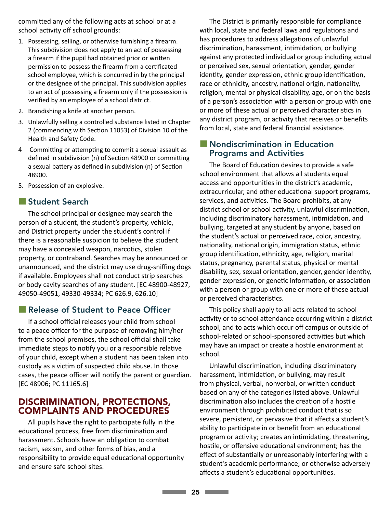committed any of the following acts at school or at a school activity off school grounds:

- 1. Possessing, selling, or otherwise furnishing a firearm. This subdivision does not apply to an act of possessing a firearm if the pupil had obtained prior or written permission to possess the firearm from a certificated school employee, which is concurred in by the principal or the designee of the principal. This subdivision applies to an act of possessing a firearm only if the possession is verified by an employee of a school district.
- 2. Brandishing a knife at another person.
- 3. Unlawfully selling a controlled substance listed in Chapter 2 (commencing with Section 11053) of Division 10 of the Health and Safety Code.
- 4 Committing or attempting to commit a sexual assault as defined in subdivision (n) of Section 48900 or committing a sexual battery as defined in subdivision (n) of Section 48900.
- 5. Possession of an explosive.

## ■ Student Search

The school principal or designee may search the person of a student, the student's property, vehicle, and District property under the student's control if there is a reasonable suspicion to believe the student may have a concealed weapon, narcotics, stolen property, or contraband. Searches may be announced or unannounced, and the district may use drug-sniffing dogs if available. Employees shall not conduct strip searches or body cavity searches of any student. [EC 48900-48927, 49050-49051, 49330-49334; PC 626.9, 626.10]

## ■ Release of Student to Peace Officer

If a school official releases your child from school to a peace officer for the purpose of removing him/her from the school premises, the school official shall take immediate steps to notify you or a responsible relative of your child, except when a student has been taken into custody as a victim of suspected child abuse. In those cases, the peace officer will notify the parent or guardian. [EC 48906; PC 11165.6]

## DISCRIMINATION, PROTECTIONS, COMPLAINTS AND PROCEDURES

All pupils have the right to participate fully in the educational process, free from discrimination and harassment. Schools have an obligation to combat racism, sexism, and other forms of bias, and a responsibility to provide equal educational opportunity and ensure safe school sites.

The District is primarily responsible for compliance with local, state and federal laws and regulations and has procedures to address allegations of unlawful discrimination, harassment, intimidation, or bullying against any protected individual or group including actual or perceived sex, sexual orientation, gender, gender identity, gender expression, ethnic group identification, race or ethnicity, ancestry, national origin, nationality, religion, mental or physical disability, age, or on the basis of a person's association with a person or group with one or more of these actual or perceived characteristics in any district program, or activity that receives or benefits from local, state and federal financial assistance.

## **E** Nondiscrimination in Education Programs and Activities

The Board of Education desires to provide a safe school environment that allows all students equal access and opportunities in the district's academic, extracurricular, and other educational support programs, services, and activities. The Board prohibits, at any district school or school activity, unlawful discrimination, including discriminatory harassment, intimidation, and bullying, targeted at any student by anyone, based on the student's actual or perceived race, color, ancestry, nationality, national origin, immigration status, ethnic group identification, ethnicity, age, religion, marital status, pregnancy, parental status, physical or mental disability, sex, sexual orientation, gender, gender identity, gender expression, or genetic information, or association with a person or group with one or more of these actual or perceived characteristics.

This policy shall apply to all acts related to school activity or to school attendance occurring within a district school, and to acts which occur off campus or outside of school-related or school-sponsored activities but which may have an impact or create a hostile environment at school.

Unlawful discrimination, including discriminatory harassment, intimidation, or bullying, may result from physical, verbal, nonverbal, or written conduct based on any of the categories listed above. Unlawful discrimination also includes the creation of a hostile environment through prohibited conduct that is so severe, persistent, or pervasive that it affects a student's ability to participate in or benefit from an educational program or activity; creates an intimidating, threatening, hostile, or offensive educational environment; has the effect of substantially or unreasonably interfering with a student's academic performance; or otherwise adversely affects a student's educational opportunities.

n**25**n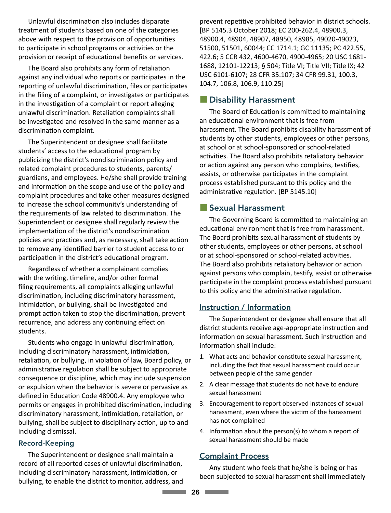Unlawful discrimination also includes disparate treatment of students based on one of the categories above with respect to the provision of opportunities to participate in school programs or activities or the provision or receipt of educational benefits or services.

The Board also prohibits any form of retaliation against any individual who reports or participates in the reporting of unlawful discrimination, files or participates in the filing of a complaint, or investigates or participates in the investigation of a complaint or report alleging unlawful discrimination. Retaliation complaints shall be investigated and resolved in the same manner as a discrimination complaint.

The Superintendent or designee shall facilitate students' access to the educational program by publicizing the district's nondiscrimination policy and related complaint procedures to students, parents/ guardians, and employees. He/she shall provide training and information on the scope and use of the policy and complaint procedures and take other measures designed to increase the school community's understanding of the requirements of law related to discrimination. The Superintendent or designee shall regularly review the implementation of the district's nondiscrimination policies and practices and, as necessary, shall take action to remove any identified barrier to student access to or participation in the district's educational program.

Regardless of whether a complainant complies with the writing, timeline, and/or other formal filing requirements, all complaints alleging unlawful discrimination, including discriminatory harassment, intimidation, or bullying, shall be investigated and prompt action taken to stop the discrimination, prevent recurrence, and address any continuing effect on students.

Students who engage in unlawful discrimination, including discriminatory harassment, intimidation, retaliation, or bullying, in violation of law, Board policy, or administrative regulation shall be subject to appropriate consequence or discipline, which may include suspension or expulsion when the behavior is severe or pervasive as defined in Education Code 48900.4. Any employee who permits or engages in prohibited discrimination, including discriminatory harassment, intimidation, retaliation, or bullying, shall be subject to disciplinary action, up to and including dismissal.

#### Record-Keeping

The Superintendent or designee shall maintain a record of all reported cases of unlawful discrimination, including discriminatory harassment, intimidation, or bullying, to enable the district to monitor, address, and prevent repetitive prohibited behavior in district schools. [BP 5145.3 October 2018; EC 200-262.4, 48900.3, 48900.4, 48904, 48907, 48950, 48985, 49020-49023, 51500, 51501, 60044; CC 1714.1; GC 11135; PC 422.55, 422.6; 5 CCR 432, 4600-4670, 4900-4965; 20 USC 1681- 1688, 12101-12213; § 504; Title VI; Title VII; Title IX; 42 USC 6101-6107; 28 CFR 35.107; 34 CFR 99.31, 100.3, 104.7, 106.8, 106.9, 110.25]

### **Ex Disability Harassment**

The Board of Education is committed to maintaining an educational environment that is free from harassment. The Board prohibits disability harassment of students by other students, employees or other persons, at school or at school-sponsored or school-related activities. The Board also prohibits retaliatory behavior or action against any person who complains, testifies, assists, or otherwise participates in the complaint process established pursuant to this policy and the administrative regulation. [BP 5145.10]

#### ■ Sexual Harassment

The Governing Board is committed to maintaining an educational environment that is free from harassment. The Board prohibits sexual harassment of students by other students, employees or other persons, at school or at school-sponsored or school-related activities. The Board also prohibits retaliatory behavior or action against persons who complain, testify, assist or otherwise participate in the complaint process established pursuant to this policy and the administrative regulation.

#### Instruction / Information

The Superintendent or designee shall ensure that all district students receive age-appropriate instruction and information on sexual harassment. Such instruction and information shall include:

- 1. What acts and behavior constitute sexual harassment, including the fact that sexual harassment could occur between people of the same gender
- 2. A clear message that students do not have to endure sexual harassment
- 3. Encouragement to report observed instances of sexual harassment, even where the victim of the harassment has not complained
- 4. Information about the person(s) to whom a report of sexual harassment should be made

#### Complaint Process

Any student who feels that he/she is being or has been subjected to sexual harassment shall immediately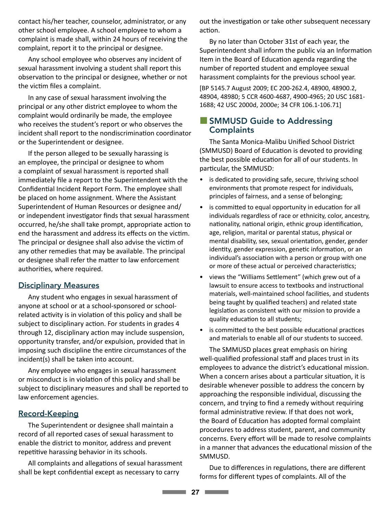contact his/her teacher, counselor, administrator, or any other school employee. A school employee to whom a complaint is made shall, within 24 hours of receiving the complaint, report it to the principal or designee.

Any school employee who observes any incident of sexual harassment involving a student shall report this observation to the principal or designee, whether or not the victim files a complaint.

In any case of sexual harassment involving the principal or any other district employee to whom the complaint would ordinarily be made, the employee who receives the student's report or who observes the incident shall report to the nondiscrimination coordinator or the Superintendent or designee.

If the person alleged to be sexually harassing is an employee, the principal or designee to whom a complaint of sexual harassment is reported shall immediately file a report to the Superintendent with the Confidential Incident Report Form. The employee shall be placed on home assignment. Where the Assistant Superintendent of Human Resources or designee and/ or independent investigator finds that sexual harassment occurred, he/she shall take prompt, appropriate action to end the harassment and address its effects on the victim. The principal or designee shall also advise the victim of any other remedies that may be available. The principal or designee shall refer the matter to law enforcement authorities, where required.

#### Disciplinary Measures

Any student who engages in sexual harassment of anyone at school or at a school-sponsored or schoolrelated activity is in violation of this policy and shall be subject to disciplinary action. For students in grades 4 through 12, disciplinary action may include suspension, opportunity transfer, and/or expulsion, provided that in imposing such discipline the entire circumstances of the incident(s) shall be taken into account.

Any employee who engages in sexual harassment or misconduct is in violation of this policy and shall be subject to disciplinary measures and shall be reported to law enforcement agencies.

#### Record-Keeping

The Superintendent or designee shall maintain a record of all reported cases of sexual harassment to enable the district to monitor, address and prevent repetitive harassing behavior in its schools.

All complaints and allegations of sexual harassment shall be kept confidential except as necessary to carry

out the investigation or take other subsequent necessary action.

By no later than October 31st of each year, the Superintendent shall inform the public via an Information Item in the Board of Education agenda regarding the number of reported student and employee sexual harassment complaints for the previous school year.

[BP 5145.7 August 2009; EC 200-262.4, 48900, 48900.2, 48904, 48980; 5 CCR 4600-4687, 4900-4965; 20 USC 1681- 1688; 42 USC 2000d, 2000e; 34 CFR 106.1-106.71]

## ■ SMMUSD Guide to Addressing **Complaints**

The Santa Monica-Malibu Unified School District (SMMUSD) Board of Education is devoted to providing the best possible education for all of our students. In particular, the SMMUSD:

- is dedicated to providing safe, secure, thriving school environments that promote respect for individuals, principles of fairness, and a sense of belonging;
- is committed to equal opportunity in education for all individuals regardless of race or ethnicity, color, ancestry, nationality, national origin, ethnic group identification, age, religion, marital or parental status, physical or mental disability, sex, sexual orientation, gender, gender identity, gender expression, genetic information, or an individual's association with a person or group with one or more of these actual or perceived characteristics;
- views the "Williams Settlement" (which grew out of a lawsuit to ensure access to textbooks and instructional materials, well-maintained school facilities, and students being taught by qualified teachers) and related state legislation as consistent with our mission to provide a quality education to all students;
- is committed to the best possible educational practices and materials to enable all of our students to succeed.

The SMMUSD places great emphasis on hiring well-qualified professional staff and places trust in its employees to advance the district's educational mission. When a concern arises about a particular situation, it is desirable whenever possible to address the concern by approaching the responsible individual, discussing the concern, and trying to find a remedy without requiring formal administrative review. If that does not work, the Board of Education has adopted formal complaint procedures to address student, parent, and community concerns. Every effort will be made to resolve complaints in a manner that advances the educational mission of the SMMUSD.

Due to differences in regulations, there are different forms for different types of complaints. All of the

n**27**n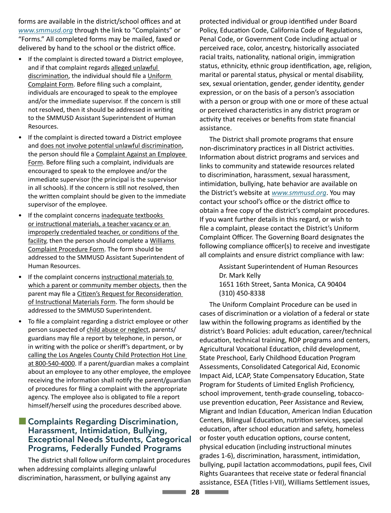forms are available in the district/school offices and at *www.smmusd.org* through the link to "Complaints" or "Forms." All completed forms may be mailed, faxed or delivered by hand to the school or the district office.

- If the complaint is directed toward a District employee, and if that complaint regards alleged unlawful discrimination, the individual should file a Uniform Complaint Form. Before filing such a complaint, individuals are encouraged to speak to the employee and/or the immediate supervisor. If the concern is still not resolved, then it should be addressed in writing to the SMMUSD Assistant Superintendent of Human Resources.
- If the complaint is directed toward a District employee and does not involve potential unlawful discrimination, the person should file a Complaint Against an Employee Form. Before filing such a complaint, individuals are encouraged to speak to the employee and/or the immediate supervisor (the principal is the supervisor in all schools). If the concern is still not resolved, then the written complaint should be given to the immediate supervisor of the employee.
- If the complaint concerns inadequate textbooks or instructional materials, a teacher vacancy or an improperly credentialed teacher, or conditions of the facility, then the person should complete a Williams Complaint Procedure Form. The form should be addressed to the SMMUSD Assistant Superintendent of Human Resources.
- If the complaint concerns instructional materials to which a parent or community member objects, then the parent may file a Citizen's Request for Reconsideration of Instructional Materials Form. The form should be addressed to the SMMUSD Superintendent.
- To file a complaint regarding a district employee or other person suspected of child abuse or neglect, parents/ guardians may file a report by telephone, in person, or in writing with the police or sheriff's department, or by calling the Los Angeles County Child Protection Hot Line at 800-540-4000. If a parent/guardian makes a complaint about an employee to any other employee, the employee receiving the information shall notify the parent/guardian of procedures for filing a complaint with the appropriate agency. The employee also is obligated to file a report himself/herself using the procedures described above.

#### <span id="page-27-0"></span>■ Complaints Regarding Discrimination, Harassment, Intimidation, Bullying, Exceptional Needs Students, Categorical Programs, Federally Funded Programs

The district shall follow uniform complaint procedures when addressing complaints alleging unlawful discrimination, harassment, or bullying against any

protected individual or group identified under Board Policy, Education Code, California Code of Regulations, Penal Code, or Government Code including actual or perceived race, color, ancestry, historically associated racial traits, nationality, national origin, immigration status, ethnicity, ethnic group identification, age, religion, marital or parental status, physical or mental disability, sex, sexual orientation, gender, gender identity, gender expression, or on the basis of a person's association with a person or group with one or more of these actual or perceived characteristics in any district program or activity that receives or benefits from state financial assistance.

The District shall promote programs that ensure non-discriminatory practices in all District activities. Information about district programs and services and links to community and statewide resources related to discrimination, harassment, sexual harassment, intimidation, bullying, hate behavior are available on the District's website at *www.smmusd.org*. You may contact your school's office or the district office to obtain a free copy of the district's complaint procedures. If you want further details in this regard, or wish to file a complaint, please contact the District's Uniform Complaint Officer. The Governing Board designates the following compliance officer(s) to receive and investigate all complaints and ensure district compliance with law:

<span id="page-27-1"></span>Assistant Superintendent of Human Resources Dr. Mark Kelly 1651 16th Street, Santa Monica, CA 90404 (310) 450-8338

The Uniform Complaint Procedure can be used in cases of discrimination or a violation of a federal or state law within the following programs as identified by the district's Board Policies: adult education, career/technical education, technical training, ROP programs and centers, Agricultural Vocational Education, child development, State Preschool, Early Childhood Education Program Assessments, Consolidated Categorical Aid, Economic Impact Aid, LCAP, State Compensatory Education, State Program for Students of Limited English Proficiency, school improvement, tenth-grade counseling, tobaccouse prevention education, Peer Assistance and Review, Migrant and Indian Education, American Indian Education Centers, Bilingual Education, nutrition services, special education, after school education and safety, homeless or foster youth education options, course content, physical education (including instructional minutes grades 1-6), discrimination, harassment, intimidation, bullying, pupil lactation accommodations, pupil fees, Civil Rights Guarantees that receive state or federal financial assistance, ESEA (Titles I-VII), Williams Settlement issues,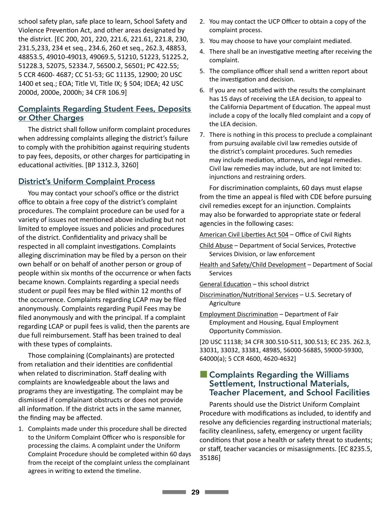school safety plan, safe place to learn, School Safety and Violence Prevention Act, and other areas designated by the district. [EC 200, 201, 220, 221.6, 221.61, 221.8, 230, 231.5,233, 234 et seq., 234.6, 260 et seq., 262.3, 48853, 48853.5, 49010-49013, 49069.5, 51210, 51223, 51225.2, 51228.3, 52075, 52334.7, 56500.2, 56501; PC 422.55; 5 CCR 4600- 4687; CC 51-53; GC 11135, 12900; 20 USC 1400 et seq.; EOA; Title VI, Title IX; § 504; IDEA; 42 USC 2000d, 2000e, 2000h; 34 CFR 106.9]

#### Complaints Regarding Student Fees, Deposits or Other Charges

The district shall follow uniform complaint procedures when addressing complaints alleging the district's failure to comply with the prohibition against requiring students to pay fees, deposits, or other charges for participating in educational activities. [BP 1312.3, 3260]

#### District's Uniform Complaint Process

You may contact your school's office or the district office to obtain a free copy of the district's complaint procedures. The complaint procedure can be used for a variety of issues not mentioned above including but not limited to employee issues and policies and procedures of the district. Confidentiality and privacy shall be respected in all complaint investigations. Complaints alleging discrimination may be filed by a person on their own behalf or on behalf of another person or group of people within six months of the occurrence or when facts became known. Complaints regarding a special needs student or pupil fees may be filed within 12 months of the occurrence. Complaints regarding LCAP may be filed anonymously. Complaints regarding Pupil Fees may be filed anonymously and with the principal. If a complaint regarding LCAP or pupil fees is valid, then the parents are due full reimbursement. Staff has been trained to deal with these types of complaints.

Those complaining (Complainants) are protected from retaliation and their identities are confidential when related to discrimination. Staff dealing with complaints are knowledgeable about the laws and programs they are investigating. The complaint may be dismissed if complainant obstructs or does not provide all information. If the district acts in the same manner, the finding may be affected.

1. Complaints made under this procedure shall be directed to the Uniform Complaint Officer who is responsible for processing the claims. A complaint under the Uniform Complaint Procedure should be completed within 60 days from the receipt of the complaint unless the complainant agrees in writing to extend the timeline.

- 2. You may contact the UCP Officer to obtain a copy of the complaint process.
- 3. You may choose to have your complaint mediated.
- 4. There shall be an investigative meeting after receiving the complaint.
- 5. The compliance officer shall send a written report about the investigation and decision.
- 6. If you are not satisfied with the results the complainant has 15 days of receiving the LEA decision, to appeal to the California Department of Education. The appeal must include a copy of the locally filed complaint and a copy of the LEA decision.
- 7. There is nothing in this process to preclude a complainant from pursuing available civil law remedies outside of the district's complaint procedures. Such remedies may include mediation, attorneys, and legal remedies. Civil law remedies may include, but are not limited to: injunctions and restraining orders.

For discrimination complaints, 60 days must elapse from the time an appeal is filed with CDE before pursuing civil remedies except for an injunction. Complaints may also be forwarded to appropriate state or federal agencies in the following cases:

American Civil Liberties Act 504 – Office of Civil Rights

- Child Abuse Department of Social Services, Protective Services Division, or law enforcement
- Health and Safety/Child Development Department of Social Services

General Education – this school district

- Discrimination/Nutritional Services U.S. Secretary of Agriculture
- Employment Discrimination Department of Fair Employment and Housing, Equal Employment Opportunity Commission.

[20 USC 11138; 34 CFR 300.510-511, 300.513; EC 235. 262.3, 33031, 33032, 33381, 48985, 56000-56885, 59000-59300, 64000(a); 5 CCR 4600, 4620-4632]

#### ■ Complaints Regarding the Williams Settlement, Instructional Materials, Teacher Placement, and School Facilities

Parents should use the District Uniform Complaint Procedure with modifications as included, to identify and resolve any deficiencies regarding instructional materials; facility cleanliness, safety, emergency or urgent facility conditions that pose a health or safety threat to students; or staff, teacher vacancies or misassignments. [EC 8235.5, 35186]

n**29**n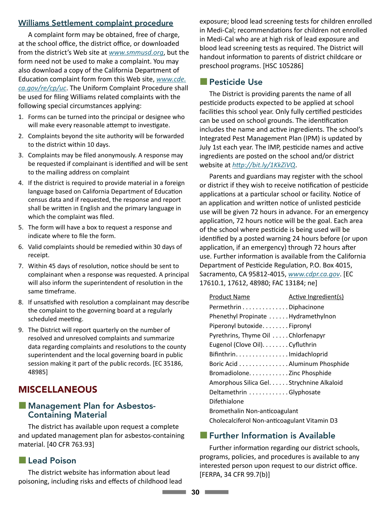#### Williams Settlement complaint procedure

A complaint form may be obtained, free of charge, at the school office, the district office, or downloaded from the district's Web site at *www.smmusd.org*, but the form need not be used to make a complaint. You may also download a copy of the California Department of Education complaint form from this Web site, *www.cde. ca.gov/re/cp/uc*. The Uniform Complaint Procedure shall be used for filing Williams related complaints with the following special circumstances applying:

- 1. Forms can be turned into the principal or designee who will make every reasonable attempt to investigate.
- 2. Complaints beyond the site authority will be forwarded to the district within 10 days.
- 3. Complaints may be filed anonymously. A response may be requested if complainant is identified and will be sent to the mailing address on complaint
- 4. If the district is required to provide material in a foreign language based on California Department of Education census data and if requested, the response and report shall be written in English and the primary language in which the complaint was filed.
- 5. The form will have a box to request a response and indicate where to file the form.
- 6. Valid complaints should be remedied within 30 days of receipt.
- 7. Within 45 days of resolution, notice should be sent to complainant when a response was requested. A principal will also inform the superintendent of resolution in the same timeframe.
- 8. If unsatisfied with resolution a complainant may describe the complaint to the governing board at a regularly scheduled meeting.
- 9. The District will report quarterly on the number of resolved and unresolved complaints and summarize data regarding complaints and resolutions to the county superintendent and the local governing board in public session making it part of the public records. [EC 35186, 48985]

## MISCELLANEOUS

#### ■ Management Plan for Asbestos-Containing Material

The district has available upon request a complete and updated management plan for asbestos-containing material. [40 CFR 763.93]

## **Lead Poison**

The district website has information about lead poisoning, including risks and effects of childhood lead exposure; blood lead screening tests for children enrolled in Medi-Cal; recommendations for children not enrolled in Medi-Cal who are at high risk of lead exposure and blood lead screening tests as required. The District will handout information to parents of district childcare or preschool programs. [HSC 105286]

## **E** Pesticide Use

The District is providing parents the name of all pesticide products expected to be applied at school facilities this school year. Only fully certified pesticides can be used on school grounds. The identification includes the name and active ingredients. The school's Integrated Pest Management Plan (IPM) is updated by July 1st each year. The IMP, pesticide names and active ingredients are posted on the school and/or district website at *http://bit.ly/1KkZiVQ*.

Parents and guardians may register with the school or district if they wish to receive notification of pesticide applications at a particular school or facility. Notice of an application and written notice of unlisted pesticide use will be given 72 hours in advance. For an emergency application, 72 hours notice will be the goal. Each area of the school where pesticide is being used will be identified by a posted warning 24 hours before (or upon application, if an emergency) through 72 hours after use. Further information is available from the California Department of Pesticide Regulation, P.O. Box 4015, Sacramento, CA 95812-4015, *www.cdpr.ca.gov*. [EC 17610.1, 17612, 48980; FAC 13184; ne]

| <b>Product Name</b>                          | Active Ingredient(s) |  |
|----------------------------------------------|----------------------|--|
| Permethrin Diphacinone                       |                      |  |
| Phenethyl Propinate Hydramethylnon           |                      |  |
| Piperonyl butoxide Fipronyl                  |                      |  |
| Pyrethrins, Thyme Oil Chlorfenapyr           |                      |  |
| Eugenol (Clove Oil). Cyfluthrin              |                      |  |
| Bifinthrin. Imidachloprid                    |                      |  |
| Boric Acid Aluminum Phosphide                |                      |  |
| Bromadiolone. Zinc Phosphide                 |                      |  |
| Amorphous Silica Gel. Strychnine Alkaloid    |                      |  |
| Deltamethrin Glyphosate                      |                      |  |
| Difethialone                                 |                      |  |
| Bromethalin Non-anticoagulant                |                      |  |
| Cholecalciferol Non-anticoagulant Vitamin D3 |                      |  |
|                                              |                      |  |

## **Exercise Further Information is Available**

interested<br>
ead **IFERPA**, 34<br> **30** Further information regarding our district schools, programs, policies, and procedures is available to any interested person upon request to our district office. [FERPA, 34 CFR 99.7(b)]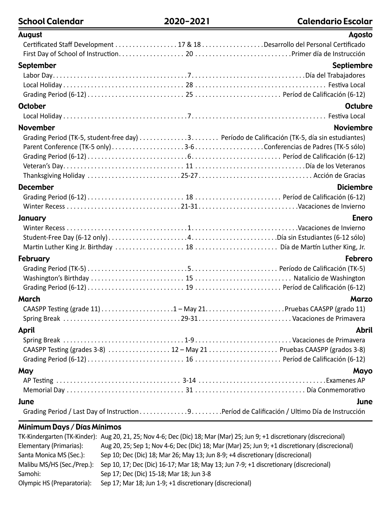# School Calendar 2020-2021 Calendario Escolar

| <b>August</b>                                                              | Agosto            |
|----------------------------------------------------------------------------|-------------------|
| Certificated Staff Development 17 & 18 Desarrollo del Personal Certificado |                   |
|                                                                            |                   |
| September                                                                  | <b>Septiembre</b> |
|                                                                            |                   |
|                                                                            |                   |
|                                                                            |                   |
| <b>October</b>                                                             | <b>Octubre</b>    |
|                                                                            |                   |
| <b>November</b>                                                            | <b>Noviembre</b>  |
|                                                                            |                   |
|                                                                            |                   |
|                                                                            |                   |
|                                                                            |                   |
|                                                                            |                   |
| <b>December</b>                                                            | <b>Diciembre</b>  |
|                                                                            |                   |
|                                                                            |                   |
| January                                                                    | <b>Enero</b>      |
|                                                                            |                   |
|                                                                            |                   |
|                                                                            |                   |
| <b>February</b>                                                            | <b>Febrero</b>    |
|                                                                            |                   |
|                                                                            |                   |
|                                                                            |                   |
| <b>March</b>                                                               | Marzo             |
|                                                                            |                   |
|                                                                            |                   |
| April                                                                      | <b>Abril</b>      |
|                                                                            |                   |
| CAASPP Testing (grades 3-8)  12 – May 21 Pruebas CAASPP (grados 3-8)       |                   |
|                                                                            |                   |
|                                                                            |                   |
| May                                                                        | Mayo              |
|                                                                            |                   |
|                                                                            |                   |
| June                                                                       | June              |
|                                                                            |                   |

## Minimum Days / Días Mínimos

|                            | TK-Kindergarten (TK-Kinder): Aug 20, 21, 25; Nov 4-6; Dec (Dic) 18; Mar (Mar) 25; Jun 9; +1 discretionary (discrecional) |
|----------------------------|--------------------------------------------------------------------------------------------------------------------------|
| Elementary (Primarias):    | Aug 20, 25; Sep 1; Nov 4-6; Dec (Dic) 18; Mar (Mar) 25; Jun 9; +1 discretionary (discrecional)                           |
| Santa Monica MS (Sec.):    | Sep 10; Dec (Dic) 18; Mar 26; May 13; Jun 8-9; +4 discretionary (discrecional)                                           |
| Malibu MS/HS (Sec./Prep.): | Sep 10, 17; Dec (Dic) 16-17; Mar 18; May 13; Jun 7-9; +1 discretionary (discrecional)                                    |
| Samohi:                    | Sep 17; Dec (Dic) 15-18; Mar 18; Jun 3-8                                                                                 |
| Olympic HS (Preparatoria): | Sep 17; Mar 18; Jun 1-9; +1 discretionary (discrecional)                                                                 |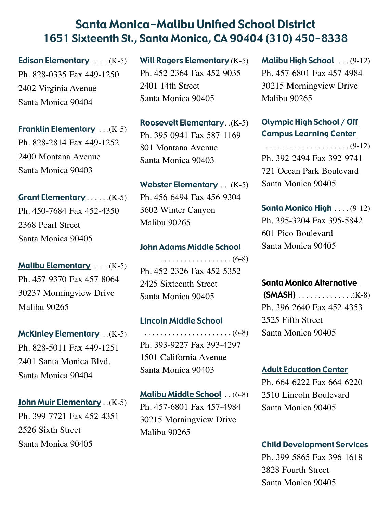# Santa Monica-Malibu Unified School District 1651 Sixteenth St., Santa Monica, CA 90404 (310) 450-8338

Edison Elementary . . . . (K-5) Ph. 828-0335 Fax 449-1250 2402 Virginia Avenue Santa Monica 90404

Franklin Elementary . . (K-5) Ph. 828-2814 Fax 449-1252 2400 Montana Avenue Santa Monica 90403

Grant Elementary . . . . . (K-5) Ph. 450-7684 Fax 452-4350 2368 Pearl Street Santa Monica 90405

**Malibu Elementary ....** (K-5) Ph. 457-9370 Fax 457-8064 30237 Morningview Drive Malibu 90265

**McKinley Elementary** . . (K-5) Ph. 828-5011 Fax 449-1251 2401 Santa Monica Blvd. Santa Monica 90404

John Muir Elementary . (K-5) Ph. 399-7721 Fax 452-4351 2526 Sixth Street Santa Monica 90405

Will Rogers Elementary (K-5) Ph. 452-2364 Fax 452-9035 2401 14th Street Santa Monica 90405

Roosevelt Elementary . (K-5) Ph. 395-0941 Fax 587-1169 801 Montana Avenue Santa Monica 90403

Webster Elementary . . (K-5) Ph. 456-6494 Fax 456-9304 3602 Winter Canyon Malibu 90265

### John Adams Middle School

 . . . . . . . . . . . . . . . . . . (6-8) Ph. 452-2326 Fax 452-5352 2425 Sixteenth Street Santa Monica 90405

## Lincoln Middle School

 . . . . . . . . . . . . . . . . . . . . . . (6-8) Ph. 393-9227 Fax 393-4297 1501 California Avenue Santa Monica 90403

Malibu Middle School . . (6-8) Ph. 457-6801 Fax 457-4984 30215 Morningview Drive Malibu 90265

Malibu High School . . . (9-12) Ph. 457-6801 Fax 457-4984 30215 Morningview Drive Malibu 90265

## Olympic High School / Off Campus Learning Center

 . . . . . . . . . . . . . . . . . . . . . (9-12) Ph. 392-2494 Fax 392-9741 721 Ocean Park Boulevard Santa Monica 90405

Santa Monica High . . . . (9-12) Ph. 395-3204 Fax 395-5842 601 Pico Boulevard Santa Monica 90405

#### Santa Monica Alternative

 $(SMASH)$  . . . . . . . . . . . . . . . (K-8) Ph. 396-2640 Fax 452-4353 2525 Fifth Street Santa Monica 90405

#### Adult Education Center

Ph. 664-6222 Fax 664-6220 2510 Lincoln Boulevard Santa Monica 90405

## Child Development Services

Ph. 399-5865 Fax 396-1618 2828 Fourth Street Santa Monica 90405